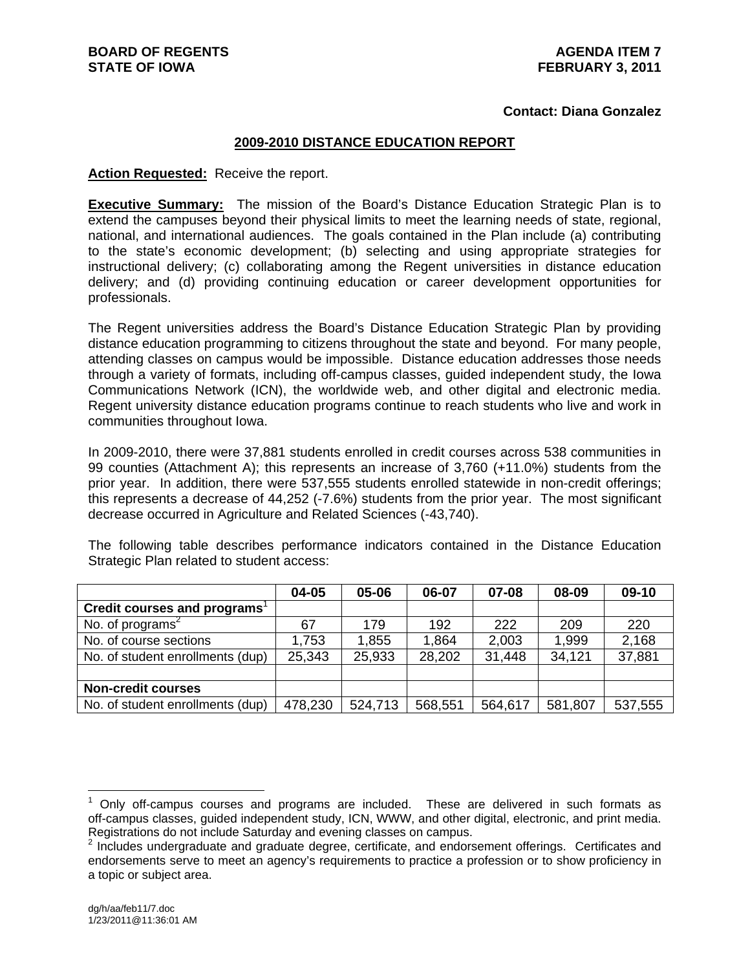#### **Contact: Diana Gonzalez**

#### **2009-2010 DISTANCE EDUCATION REPORT**

#### **Action Requested:** Receive the report.

**Executive Summary:** The mission of the Board's Distance Education Strategic Plan is to extend the campuses beyond their physical limits to meet the learning needs of state, regional, national, and international audiences. The goals contained in the Plan include (a) contributing to the state's economic development; (b) selecting and using appropriate strategies for instructional delivery; (c) collaborating among the Regent universities in distance education delivery; and (d) providing continuing education or career development opportunities for professionals.

The Regent universities address the Board's Distance Education Strategic Plan by providing distance education programming to citizens throughout the state and beyond. For many people, attending classes on campus would be impossible. Distance education addresses those needs through a variety of formats, including off-campus classes, guided independent study, the Iowa Communications Network (ICN), the worldwide web, and other digital and electronic media. Regent university distance education programs continue to reach students who live and work in communities throughout Iowa.

In 2009-2010, there were 37,881 students enrolled in credit courses across 538 communities in 99 counties (Attachment A); this represents an increase of 3,760 (+11.0%) students from the prior year. In addition, there were 537,555 students enrolled statewide in non-credit offerings; this represents a decrease of 44,252 (-7.6%) students from the prior year. The most significant decrease occurred in Agriculture and Related Sciences (-43,740).

The following table describes performance indicators contained in the Distance Education Strategic Plan related to student access:

|                                          | 04-05   | 05-06   | 06-07   | 07-08   | 08-09   | 09-10   |
|------------------------------------------|---------|---------|---------|---------|---------|---------|
| Credit courses and programs <sup>1</sup> |         |         |         |         |         |         |
| No. of programs <sup>2</sup>             | 67      | 179     | 192     | 222     | 209     | 220     |
| No. of course sections                   | 1,753   | 1,855   | 1,864   | 2,003   | 1,999   | 2,168   |
| No. of student enrollments (dup)         | 25,343  | 25,933  | 28,202  | 31,448  | 34,121  | 37,881  |
|                                          |         |         |         |         |         |         |
| <b>Non-credit courses</b>                |         |         |         |         |         |         |
| No. of student enrollments (dup)         | 478,230 | 524,713 | 568,551 | 564,617 | 581,807 | 537,555 |

 $\overline{a}$ 

 $1$  Only off-campus courses and programs are included. These are delivered in such formats as off-campus classes, guided independent study, ICN, WWW, and other digital, electronic, and print media. Registrations do not include Saturday and evening classes on campus.

 $2$  Includes undergraduate and graduate degree, certificate, and endorsement offerings. Certificates and endorsements serve to meet an agency's requirements to practice a profession or to show proficiency in a topic or subject area.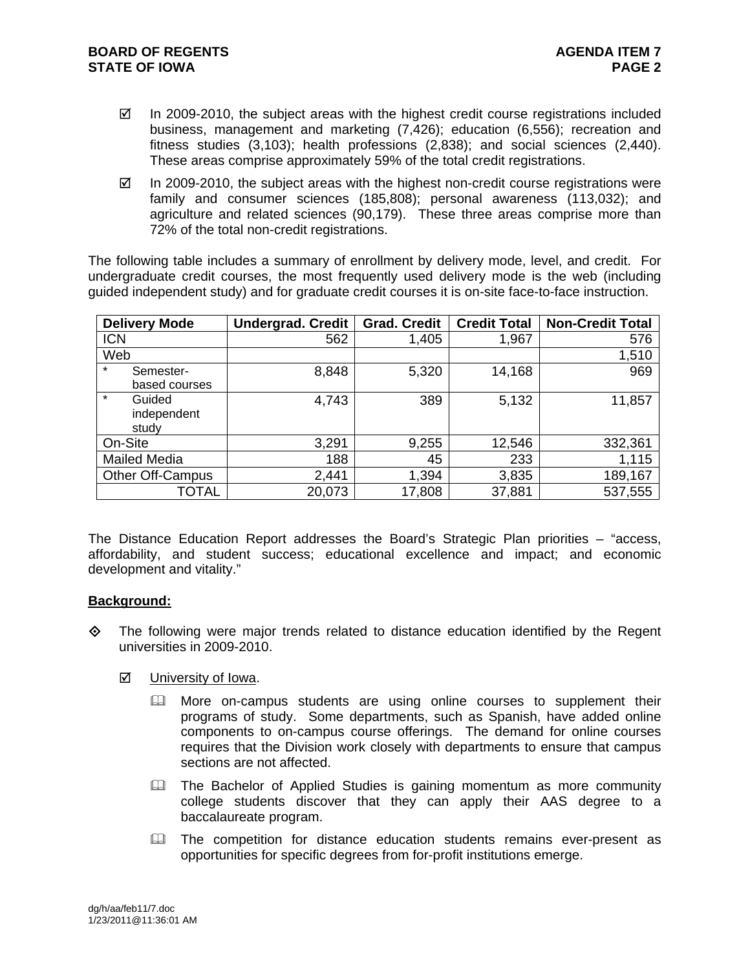- $\boxtimes$  In 2009-2010, the subject areas with the highest credit course registrations included business, management and marketing (7,426); education (6,556); recreation and fitness studies (3,103); health professions (2,838); and social sciences (2,440). These areas comprise approximately 59% of the total credit registrations.
- $\boxtimes$  In 2009-2010, the subject areas with the highest non-credit course registrations were family and consumer sciences (185,808); personal awareness (113,032); and agriculture and related sciences (90,179). These three areas comprise more than 72% of the total non-credit registrations.

The following table includes a summary of enrollment by delivery mode, level, and credit. For undergraduate credit courses, the most frequently used delivery mode is the web (including guided independent study) and for graduate credit courses it is on-site face-to-face instruction.

| <b>Delivery Mode</b>                      | <b>Undergrad. Credit</b> | <b>Grad. Credit</b> | <b>Credit Total</b> | <b>Non-Credit Total</b> |
|-------------------------------------------|--------------------------|---------------------|---------------------|-------------------------|
| <b>ICN</b>                                | 562                      | 1,405               | 1,967               | 576                     |
| Web                                       |                          |                     |                     | 1,510                   |
| $\star$<br>Semester-<br>based courses     | 8,848                    | 5,320               | 14,168              | 969                     |
| $\star$<br>Guided<br>independent<br>study | 4,743                    | 389                 | 5,132               | 11,857                  |
| On-Site                                   | 3,291                    | 9,255               | 12,546              | 332,361                 |
| <b>Mailed Media</b>                       | 188                      | 45                  | 233                 | 1,115                   |
| <b>Other Off-Campus</b>                   | 2,441                    | 1,394               | 3,835               | 189,167                 |
| TOTAL                                     | 20,073                   | 17,808              | 37,881              | 537,555                 |

The Distance Education Report addresses the Board's Strategic Plan priorities – "access, affordability, and student success; educational excellence and impact; and economic development and vitality."

#### **Background:**

 $\Leftrightarrow$  The following were major trends related to distance education identified by the Regent universities in 2009-2010.

## **☑** University of Iowa.

- **More on-campus students are using online courses to supplement their** programs of study. Some departments, such as Spanish, have added online components to on-campus course offerings. The demand for online courses requires that the Division work closely with departments to ensure that campus sections are not affected.
- **Example 20 The Bachelor of Applied Studies is gaining momentum as more community** college students discover that they can apply their AAS degree to a baccalaureate program.
- **Example 1** The competition for distance education students remains ever-present as opportunities for specific degrees from for-profit institutions emerge.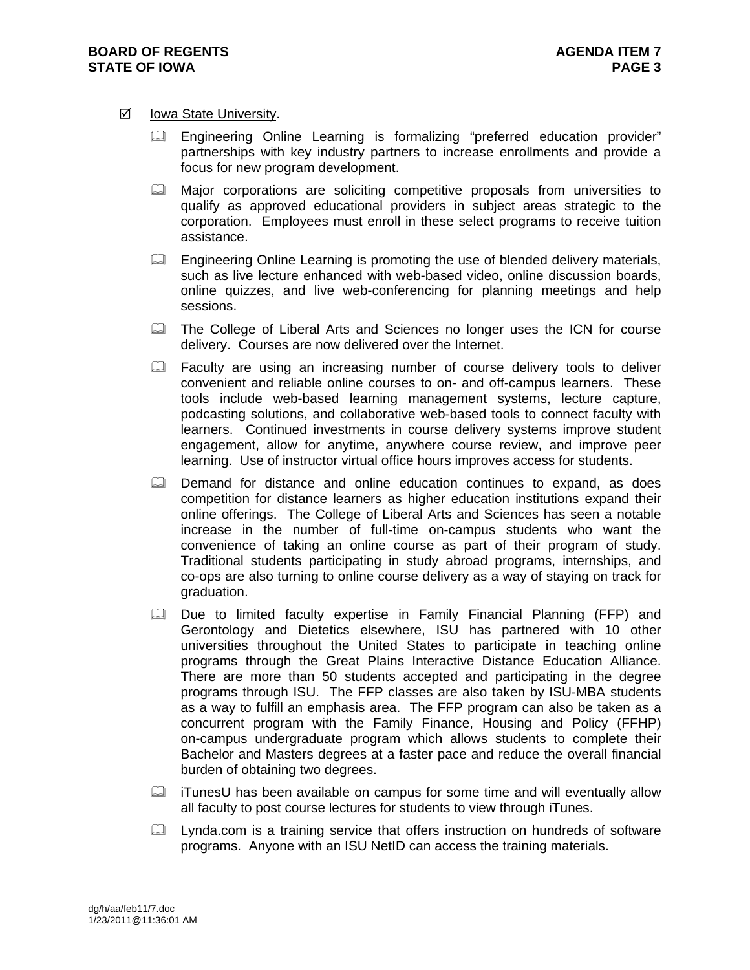#### $\boxtimes$  Iowa State University.

- **Engineering Online Learning is formalizing "preferred education provider"** partnerships with key industry partners to increase enrollments and provide a focus for new program development.
- **Major corporations are soliciting competitive proposals from universities to** qualify as approved educational providers in subject areas strategic to the corporation. Employees must enroll in these select programs to receive tuition assistance.
- **Engineering Online Learning is promoting the use of blended delivery materials,** such as live lecture enhanced with web-based video, online discussion boards, online quizzes, and live web-conferencing for planning meetings and help sessions.
- The College of Liberal Arts and Sciences no longer uses the ICN for course delivery. Courses are now delivered over the Internet.
- E Faculty are using an increasing number of course delivery tools to deliver convenient and reliable online courses to on- and off-campus learners. These tools include web-based learning management systems, lecture capture, podcasting solutions, and collaborative web-based tools to connect faculty with learners. Continued investments in course delivery systems improve student engagement, allow for anytime, anywhere course review, and improve peer learning. Use of instructor virtual office hours improves access for students.
- **E. Demand for distance and online education continues to expand, as does** competition for distance learners as higher education institutions expand their online offerings. The College of Liberal Arts and Sciences has seen a notable increase in the number of full-time on-campus students who want the convenience of taking an online course as part of their program of study. Traditional students participating in study abroad programs, internships, and co-ops are also turning to online course delivery as a way of staying on track for graduation.
- **Exall Due to limited faculty expertise in Family Financial Planning (FFP) and** Gerontology and Dietetics elsewhere, ISU has partnered with 10 other universities throughout the United States to participate in teaching online programs through the Great Plains Interactive Distance Education Alliance. There are more than 50 students accepted and participating in the degree programs through ISU. The FFP classes are also taken by ISU-MBA students as a way to fulfill an emphasis area. The FFP program can also be taken as a concurrent program with the Family Finance, Housing and Policy (FFHP) on-campus undergraduate program which allows students to complete their Bachelor and Masters degrees at a faster pace and reduce the overall financial burden of obtaining two degrees.
- $\Box$  iTunesU has been available on campus for some time and will eventually allow all faculty to post course lectures for students to view through iTunes.
- Lynda.com is a training service that offers instruction on hundreds of software programs. Anyone with an ISU NetID can access the training materials.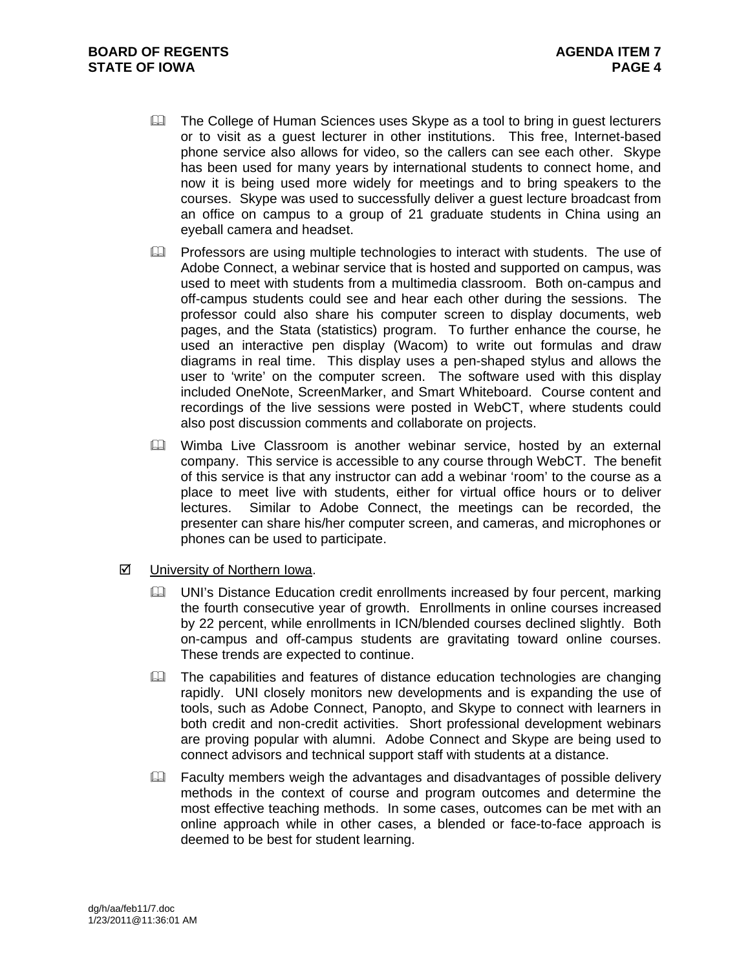- **Example 20 The College of Human Sciences uses Skype as a tool to bring in guest lecturers** or to visit as a guest lecturer in other institutions. This free, Internet-based phone service also allows for video, so the callers can see each other. Skype has been used for many years by international students to connect home, and now it is being used more widely for meetings and to bring speakers to the courses. Skype was used to successfully deliver a guest lecture broadcast from an office on campus to a group of 21 graduate students in China using an eyeball camera and headset.
- $\Box$  Professors are using multiple technologies to interact with students. The use of Adobe Connect, a webinar service that is hosted and supported on campus, was used to meet with students from a multimedia classroom. Both on-campus and off-campus students could see and hear each other during the sessions. The professor could also share his computer screen to display documents, web pages, and the Stata (statistics) program. To further enhance the course, he used an interactive pen display (Wacom) to write out formulas and draw diagrams in real time. This display uses a pen-shaped stylus and allows the user to 'write' on the computer screen. The software used with this display included OneNote, ScreenMarker, and Smart Whiteboard. Course content and recordings of the live sessions were posted in WebCT, where students could also post discussion comments and collaborate on projects.
- Wimba Live Classroom is another webinar service, hosted by an external company. This service is accessible to any course through WebCT. The benefit of this service is that any instructor can add a webinar 'room' to the course as a place to meet live with students, either for virtual office hours or to deliver lectures. Similar to Adobe Connect, the meetings can be recorded, the presenter can share his/her computer screen, and cameras, and microphones or phones can be used to participate.
- University of Northern Iowa.
	- **E. UNI's Distance Education credit enrollments increased by four percent, marking** the fourth consecutive year of growth. Enrollments in online courses increased by 22 percent, while enrollments in ICN/blended courses declined slightly. Both on-campus and off-campus students are gravitating toward online courses. These trends are expected to continue.
	- $\Box$  The capabilities and features of distance education technologies are changing rapidly. UNI closely monitors new developments and is expanding the use of tools, such as Adobe Connect, Panopto, and Skype to connect with learners in both credit and non-credit activities. Short professional development webinars are proving popular with alumni. Adobe Connect and Skype are being used to connect advisors and technical support staff with students at a distance.
	- $\Box$  Faculty members weigh the advantages and disadvantages of possible delivery methods in the context of course and program outcomes and determine the most effective teaching methods. In some cases, outcomes can be met with an online approach while in other cases, a blended or face-to-face approach is deemed to be best for student learning.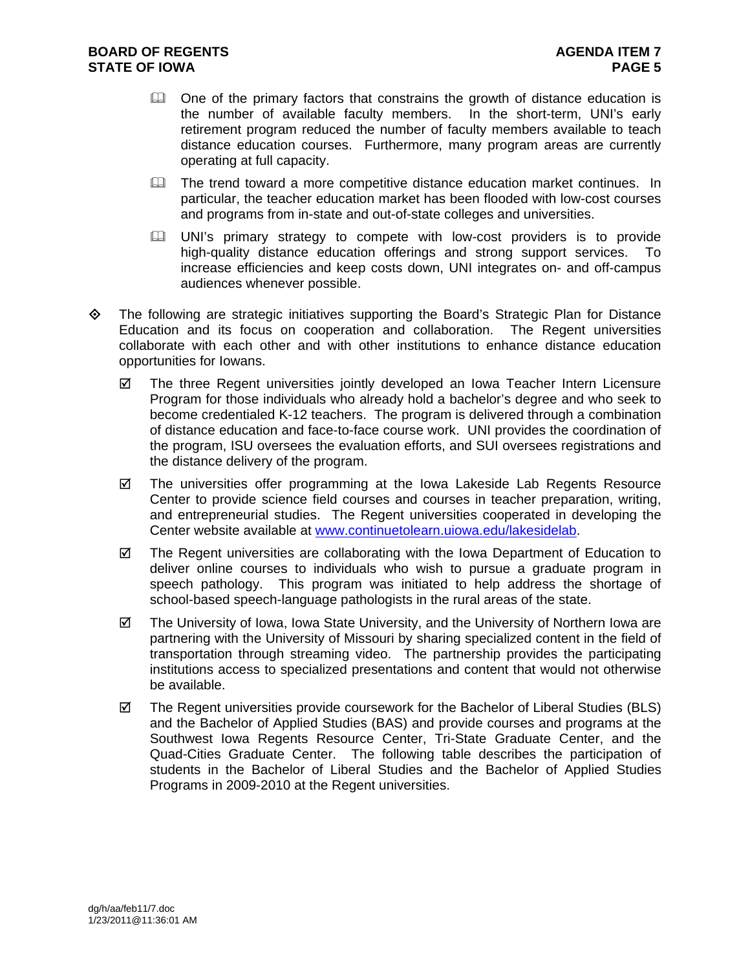- $\Box$  One of the primary factors that constrains the growth of distance education is the number of available faculty members. In the short-term, UNI's early retirement program reduced the number of faculty members available to teach distance education courses. Furthermore, many program areas are currently operating at full capacity.
- The trend toward a more competitive distance education market continues. In particular, the teacher education market has been flooded with low-cost courses and programs from in-state and out-of-state colleges and universities.
- UNI's primary strategy to compete with low-cost providers is to provide high-quality distance education offerings and strong support services. To increase efficiencies and keep costs down, UNI integrates on- and off-campus audiences whenever possible.
- $\Leftrightarrow$  The following are strategic initiatives supporting the Board's Strategic Plan for Distance Education and its focus on cooperation and collaboration. The Regent universities collaborate with each other and with other institutions to enhance distance education opportunities for Iowans.
	- $\boxtimes$  The three Regent universities jointly developed an Iowa Teacher Intern Licensure Program for those individuals who already hold a bachelor's degree and who seek to become credentialed K-12 teachers. The program is delivered through a combination of distance education and face-to-face course work. UNI provides the coordination of the program, ISU oversees the evaluation efforts, and SUI oversees registrations and the distance delivery of the program.
	- $\boxtimes$  The universities offer programming at the Iowa Lakeside Lab Regents Resource Center to provide science field courses and courses in teacher preparation, writing, and entrepreneurial studies. The Regent universities cooperated in developing the Center website available at www.continuetolearn.uiowa.edu/lakesidelab.
	- $\boxtimes$  The Regent universities are collaborating with the Iowa Department of Education to deliver online courses to individuals who wish to pursue a graduate program in speech pathology. This program was initiated to help address the shortage of school-based speech-language pathologists in the rural areas of the state.
	- $\boxtimes$  The University of Iowa, Iowa State University, and the University of Northern Iowa are partnering with the University of Missouri by sharing specialized content in the field of transportation through streaming video. The partnership provides the participating institutions access to specialized presentations and content that would not otherwise be available.
	- $\boxtimes$  The Regent universities provide coursework for the Bachelor of Liberal Studies (BLS) and the Bachelor of Applied Studies (BAS) and provide courses and programs at the Southwest Iowa Regents Resource Center, Tri-State Graduate Center, and the Quad-Cities Graduate Center. The following table describes the participation of students in the Bachelor of Liberal Studies and the Bachelor of Applied Studies Programs in 2009-2010 at the Regent universities.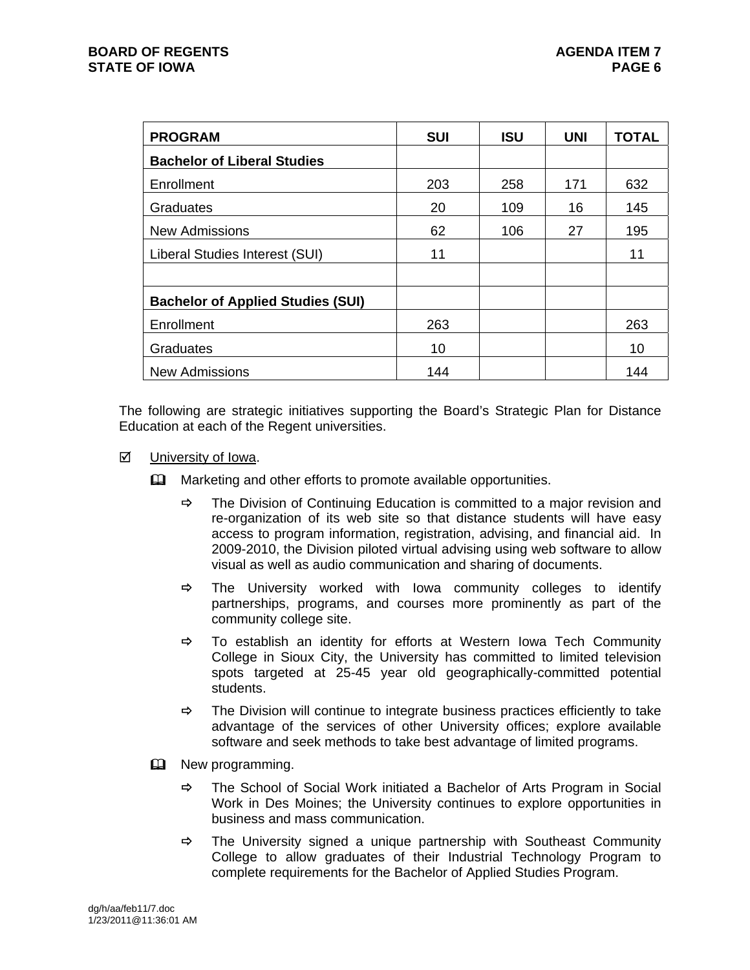| <b>PROGRAM</b>                           | <b>SUI</b> | <b>ISU</b> | <b>UNI</b> | <b>TOTAL</b> |
|------------------------------------------|------------|------------|------------|--------------|
| <b>Bachelor of Liberal Studies</b>       |            |            |            |              |
| Enrollment                               | 203        | 258        | 171        | 632          |
| Graduates                                | 20         | 109        | 16         | 145          |
| <b>New Admissions</b>                    | 62         | 106        | 27         | 195          |
| Liberal Studies Interest (SUI)           | 11         |            |            | 11           |
|                                          |            |            |            |              |
| <b>Bachelor of Applied Studies (SUI)</b> |            |            |            |              |
| Enrollment                               | 263        |            |            | 263          |
| Graduates                                | 10         |            |            | 10           |
| <b>New Admissions</b>                    | 144        |            |            | 144          |

The following are strategic initiatives supporting the Board's Strategic Plan for Distance Education at each of the Regent universities.

- **☑** University of Iowa.
	- **Example 20** Marketing and other efforts to promote available opportunities.
		- $\Rightarrow$  The Division of Continuing Education is committed to a major revision and re-organization of its web site so that distance students will have easy access to program information, registration, advising, and financial aid. In 2009-2010, the Division piloted virtual advising using web software to allow visual as well as audio communication and sharing of documents.
		- $\Rightarrow$  The University worked with Iowa community colleges to identify partnerships, programs, and courses more prominently as part of the community college site.
		- $\Rightarrow$  To establish an identity for efforts at Western Iowa Tech Community College in Sioux City, the University has committed to limited television spots targeted at 25-45 year old geographically-committed potential students.
		- $\Rightarrow$  The Division will continue to integrate business practices efficiently to take advantage of the services of other University offices; explore available software and seek methods to take best advantage of limited programs.
	- **EQ** New programming.
		- $\Rightarrow$  The School of Social Work initiated a Bachelor of Arts Program in Social Work in Des Moines; the University continues to explore opportunities in business and mass communication.
		- $\Rightarrow$  The University signed a unique partnership with Southeast Community College to allow graduates of their Industrial Technology Program to complete requirements for the Bachelor of Applied Studies Program.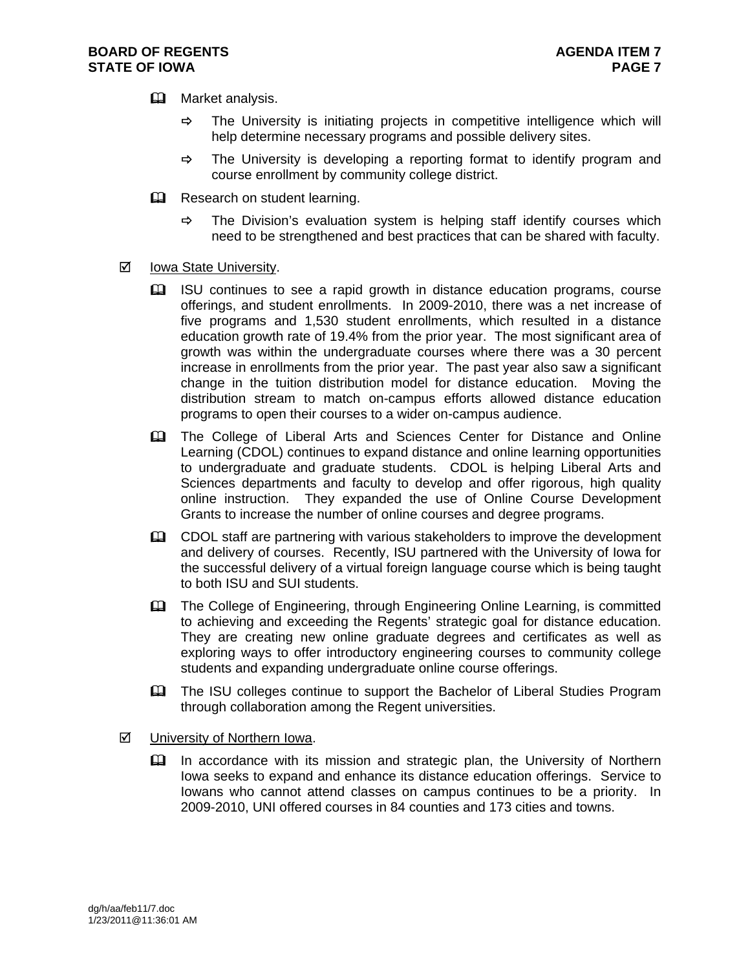- **EQ** Market analysis.
	- $\Rightarrow$  The University is initiating projects in competitive intelligence which will help determine necessary programs and possible delivery sites.
	- $\Rightarrow$  The University is developing a reporting format to identify program and course enrollment by community college district.
- **Q** Research on student learning.
	- $\Rightarrow$  The Division's evaluation system is helping staff identify courses which need to be strengthened and best practices that can be shared with faculty.
- $\boxtimes$  Iowa State University.
	- ISU continues to see a rapid growth in distance education programs, course offerings, and student enrollments. In 2009-2010, there was a net increase of five programs and 1,530 student enrollments, which resulted in a distance education growth rate of 19.4% from the prior year. The most significant area of growth was within the undergraduate courses where there was a 30 percent increase in enrollments from the prior year. The past year also saw a significant change in the tuition distribution model for distance education. Moving the distribution stream to match on-campus efforts allowed distance education programs to open their courses to a wider on-campus audience.
	- The College of Liberal Arts and Sciences Center for Distance and Online Learning (CDOL) continues to expand distance and online learning opportunities to undergraduate and graduate students. CDOL is helping Liberal Arts and Sciences departments and faculty to develop and offer rigorous, high quality online instruction. They expanded the use of Online Course Development Grants to increase the number of online courses and degree programs.
	- **EU** CDOL staff are partnering with various stakeholders to improve the development and delivery of courses. Recently, ISU partnered with the University of Iowa for the successful delivery of a virtual foreign language course which is being taught to both ISU and SUI students.
	- The College of Engineering, through Engineering Online Learning, is committed to achieving and exceeding the Regents' strategic goal for distance education. They are creating new online graduate degrees and certificates as well as exploring ways to offer introductory engineering courses to community college students and expanding undergraduate online course offerings.
	- **EQUA** The ISU colleges continue to support the Bachelor of Liberal Studies Program through collaboration among the Regent universities.
- University of Northern Iowa.
	- In accordance with its mission and strategic plan, the University of Northern Iowa seeks to expand and enhance its distance education offerings. Service to Iowans who cannot attend classes on campus continues to be a priority. In 2009-2010, UNI offered courses in 84 counties and 173 cities and towns.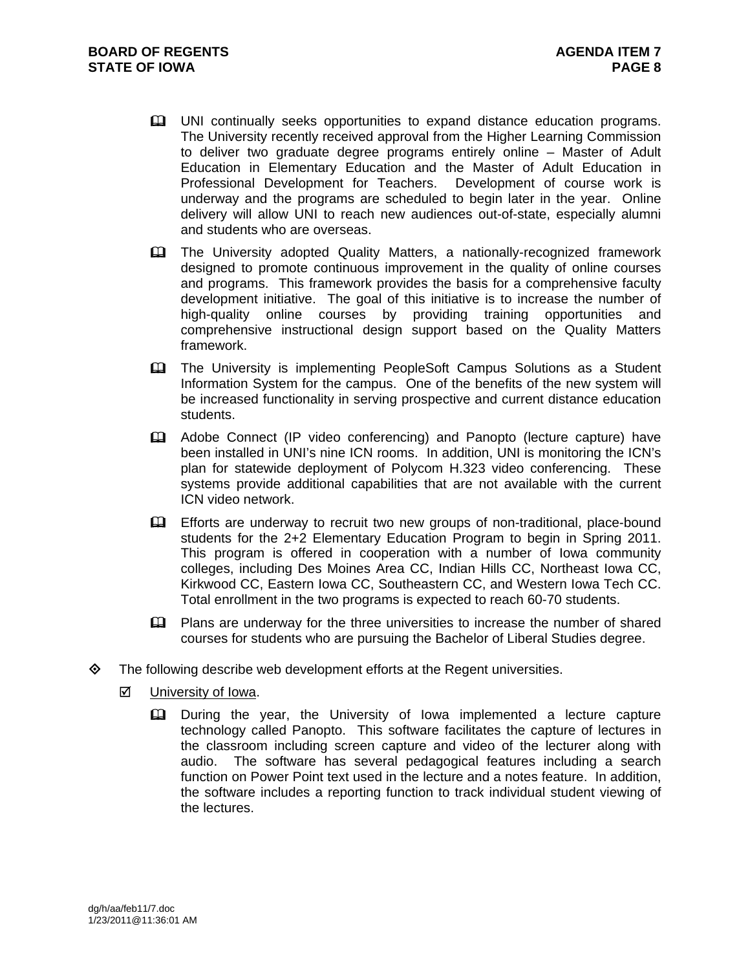- **EQ UNI continually seeks opportunities to expand distance education programs.** The University recently received approval from the Higher Learning Commission to deliver two graduate degree programs entirely online – Master of Adult Education in Elementary Education and the Master of Adult Education in Professional Development for Teachers. Development of course work is underway and the programs are scheduled to begin later in the year. Online delivery will allow UNI to reach new audiences out-of-state, especially alumni and students who are overseas.
- **Example 20** The University adopted Quality Matters, a nationally-recognized framework designed to promote continuous improvement in the quality of online courses and programs. This framework provides the basis for a comprehensive faculty development initiative. The goal of this initiative is to increase the number of high-quality online courses by providing training opportunities and comprehensive instructional design support based on the Quality Matters framework.
- The University is implementing PeopleSoft Campus Solutions as a Student Information System for the campus. One of the benefits of the new system will be increased functionality in serving prospective and current distance education students.
- Adobe Connect (IP video conferencing) and Panopto (lecture capture) have been installed in UNI's nine ICN rooms. In addition, UNI is monitoring the ICN's plan for statewide deployment of Polycom H.323 video conferencing. These systems provide additional capabilities that are not available with the current ICN video network.
- Efforts are underway to recruit two new groups of non-traditional, place-bound students for the 2+2 Elementary Education Program to begin in Spring 2011. This program is offered in cooperation with a number of Iowa community colleges, including Des Moines Area CC, Indian Hills CC, Northeast Iowa CC, Kirkwood CC, Eastern Iowa CC, Southeastern CC, and Western Iowa Tech CC. Total enrollment in the two programs is expected to reach 60-70 students.
- Plans are underway for the three universities to increase the number of shared courses for students who are pursuing the Bachelor of Liberal Studies degree.
- $\diamond$  The following describe web development efforts at the Regent universities.
	- University of Iowa.
		- During the year, the University of Iowa implemented a lecture capture technology called Panopto. This software facilitates the capture of lectures in the classroom including screen capture and video of the lecturer along with audio. The software has several pedagogical features including a search function on Power Point text used in the lecture and a notes feature. In addition, the software includes a reporting function to track individual student viewing of the lectures.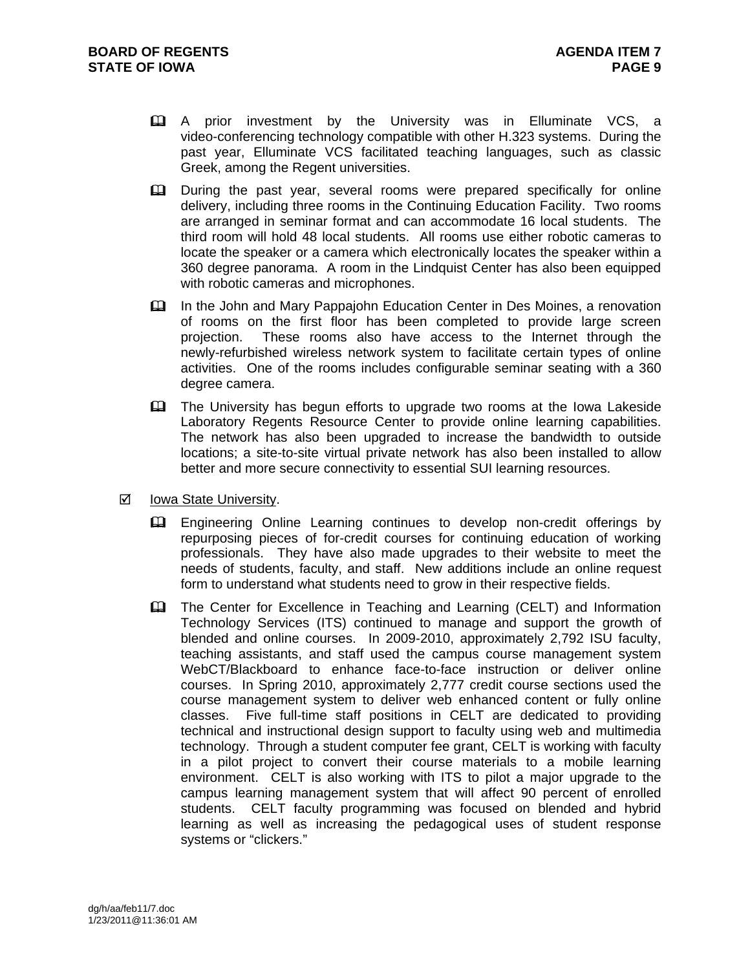- A prior investment by the University was in Elluminate VCS, a video-conferencing technology compatible with other H.323 systems. During the past year, Elluminate VCS facilitated teaching languages, such as classic Greek, among the Regent universities.
- **Et During the past year, several rooms were prepared specifically for online** delivery, including three rooms in the Continuing Education Facility. Two rooms are arranged in seminar format and can accommodate 16 local students. The third room will hold 48 local students. All rooms use either robotic cameras to locate the speaker or a camera which electronically locates the speaker within a 360 degree panorama. A room in the Lindquist Center has also been equipped with robotic cameras and microphones.
- In the John and Mary Pappajohn Education Center in Des Moines, a renovation of rooms on the first floor has been completed to provide large screen projection. These rooms also have access to the Internet through the newly-refurbished wireless network system to facilitate certain types of online activities. One of the rooms includes configurable seminar seating with a 360 degree camera.
- The University has begun efforts to upgrade two rooms at the Iowa Lakeside Laboratory Regents Resource Center to provide online learning capabilities. The network has also been upgraded to increase the bandwidth to outside locations; a site-to-site virtual private network has also been installed to allow better and more secure connectivity to essential SUI learning resources.
- $\boxtimes$  Iowa State University.
	- Engineering Online Learning continues to develop non-credit offerings by repurposing pieces of for-credit courses for continuing education of working professionals. They have also made upgrades to their website to meet the needs of students, faculty, and staff. New additions include an online request form to understand what students need to grow in their respective fields.
	- **EQ The Center for Excellence in Teaching and Learning (CELT) and Information** Technology Services (ITS) continued to manage and support the growth of blended and online courses. In 2009-2010, approximately 2,792 ISU faculty, teaching assistants, and staff used the campus course management system WebCT/Blackboard to enhance face-to-face instruction or deliver online courses. In Spring 2010, approximately 2,777 credit course sections used the course management system to deliver web enhanced content or fully online classes. Five full-time staff positions in CELT are dedicated to providing technical and instructional design support to faculty using web and multimedia technology. Through a student computer fee grant, CELT is working with faculty in a pilot project to convert their course materials to a mobile learning environment. CELT is also working with ITS to pilot a major upgrade to the campus learning management system that will affect 90 percent of enrolled students. CELT faculty programming was focused on blended and hybrid learning as well as increasing the pedagogical uses of student response systems or "clickers."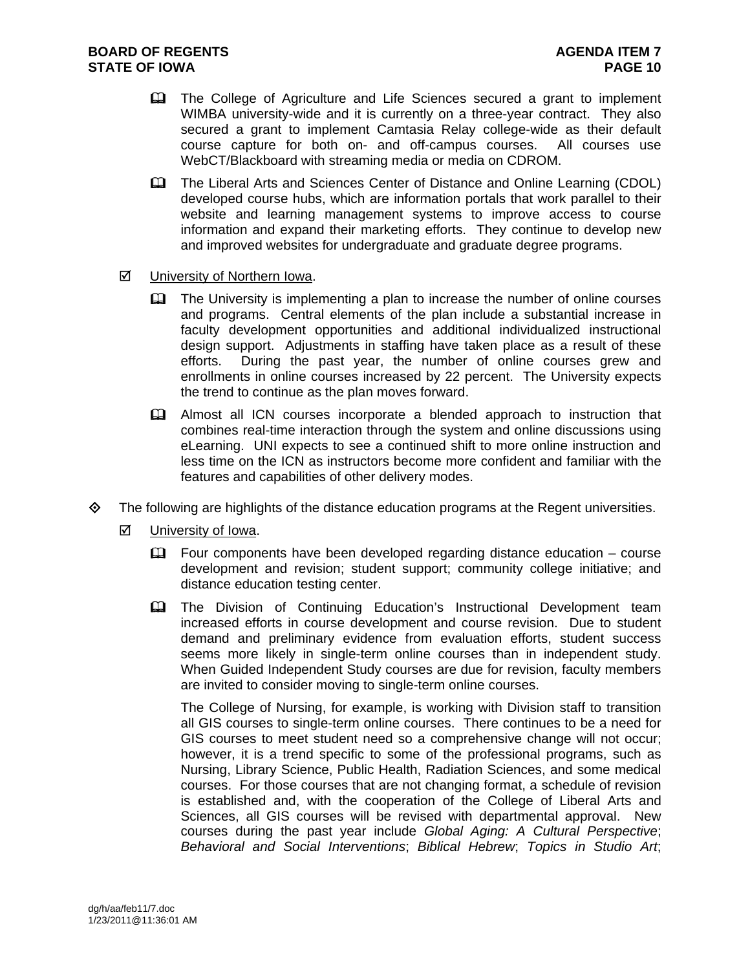- The College of Agriculture and Life Sciences secured a grant to implement WIMBA university-wide and it is currently on a three-year contract. They also secured a grant to implement Camtasia Relay college-wide as their default course capture for both on- and off-campus courses. All courses use WebCT/Blackboard with streaming media or media on CDROM.
- The Liberal Arts and Sciences Center of Distance and Online Learning (CDOL) developed course hubs, which are information portals that work parallel to their website and learning management systems to improve access to course information and expand their marketing efforts. They continue to develop new and improved websites for undergraduate and graduate degree programs.
- University of Northern Iowa.
	- $\mathbf{\Omega}$  The University is implementing a plan to increase the number of online courses and programs. Central elements of the plan include a substantial increase in faculty development opportunities and additional individualized instructional design support. Adjustments in staffing have taken place as a result of these efforts. During the past year, the number of online courses grew and enrollments in online courses increased by 22 percent. The University expects the trend to continue as the plan moves forward.
	- Almost all ICN courses incorporate a blended approach to instruction that combines real-time interaction through the system and online discussions using eLearning. UNI expects to see a continued shift to more online instruction and less time on the ICN as instructors become more confident and familiar with the features and capabilities of other delivery modes.
- $\Diamond$  The following are highlights of the distance education programs at the Regent universities.
	- **☑** University of Iowa.
		- Four components have been developed regarding distance education course development and revision; student support; community college initiative; and distance education testing center.
		- The Division of Continuing Education's Instructional Development team increased efforts in course development and course revision. Due to student demand and preliminary evidence from evaluation efforts, student success seems more likely in single-term online courses than in independent study. When Guided Independent Study courses are due for revision, faculty members are invited to consider moving to single-term online courses.

The College of Nursing, for example, is working with Division staff to transition all GIS courses to single-term online courses. There continues to be a need for GIS courses to meet student need so a comprehensive change will not occur; however, it is a trend specific to some of the professional programs, such as Nursing, Library Science, Public Health, Radiation Sciences, and some medical courses. For those courses that are not changing format, a schedule of revision is established and, with the cooperation of the College of Liberal Arts and Sciences, all GIS courses will be revised with departmental approval. New courses during the past year include *Global Aging: A Cultural Perspective*; *Behavioral and Social Interventions*; *Biblical Hebrew*; *Topics in Studio Art*;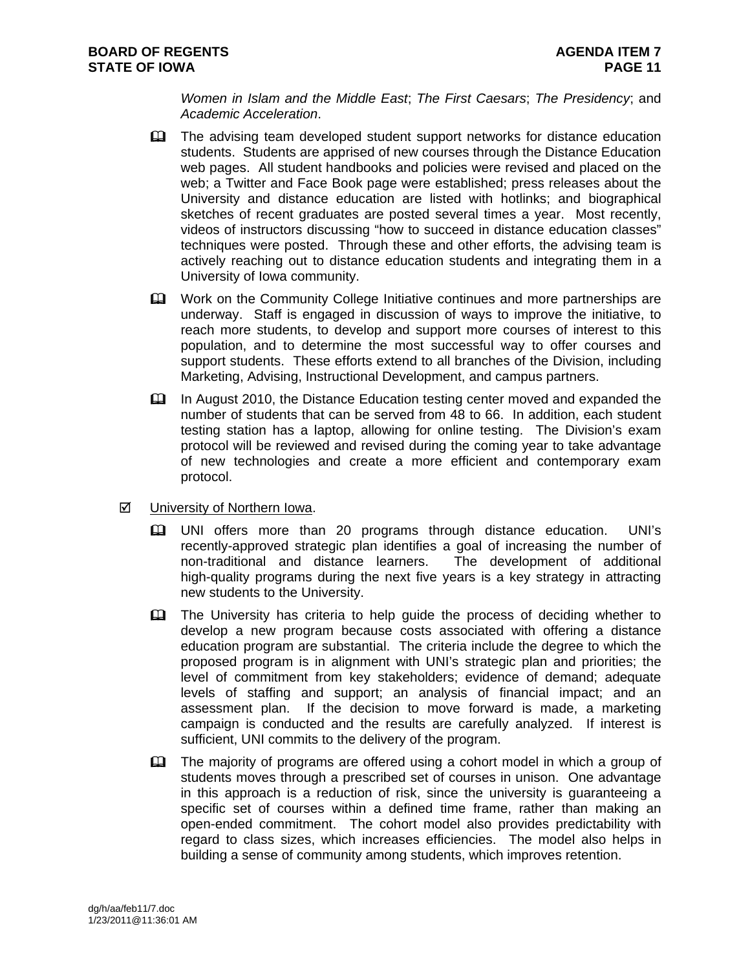*Women in Islam and the Middle East*; *The First Caesars*; *The Presidency*; and *Academic Acceleration*.

- The advising team developed student support networks for distance education students. Students are apprised of new courses through the Distance Education web pages. All student handbooks and policies were revised and placed on the web; a Twitter and Face Book page were established; press releases about the University and distance education are listed with hotlinks; and biographical sketches of recent graduates are posted several times a year. Most recently, videos of instructors discussing "how to succeed in distance education classes" techniques were posted. Through these and other efforts, the advising team is actively reaching out to distance education students and integrating them in a University of Iowa community.
- Work on the Community College Initiative continues and more partnerships are underway. Staff is engaged in discussion of ways to improve the initiative, to reach more students, to develop and support more courses of interest to this population, and to determine the most successful way to offer courses and support students. These efforts extend to all branches of the Division, including Marketing, Advising, Instructional Development, and campus partners.
- In August 2010, the Distance Education testing center moved and expanded the number of students that can be served from 48 to 66. In addition, each student testing station has a laptop, allowing for online testing. The Division's exam protocol will be reviewed and revised during the coming year to take advantage of new technologies and create a more efficient and contemporary exam protocol.
- University of Northern Iowa.
	- UNI offers more than 20 programs through distance education. UNI's recently-approved strategic plan identifies a goal of increasing the number of non-traditional and distance learners. The development of additional high-quality programs during the next five years is a key strategy in attracting new students to the University.
	- **The University has criteria to help quide the process of deciding whether to** develop a new program because costs associated with offering a distance education program are substantial. The criteria include the degree to which the proposed program is in alignment with UNI's strategic plan and priorities; the level of commitment from key stakeholders; evidence of demand; adequate levels of staffing and support; an analysis of financial impact; and an assessment plan. If the decision to move forward is made, a marketing campaign is conducted and the results are carefully analyzed. If interest is sufficient, UNI commits to the delivery of the program.
	- The majority of programs are offered using a cohort model in which a group of students moves through a prescribed set of courses in unison. One advantage in this approach is a reduction of risk, since the university is guaranteeing a specific set of courses within a defined time frame, rather than making an open-ended commitment. The cohort model also provides predictability with regard to class sizes, which increases efficiencies. The model also helps in building a sense of community among students, which improves retention.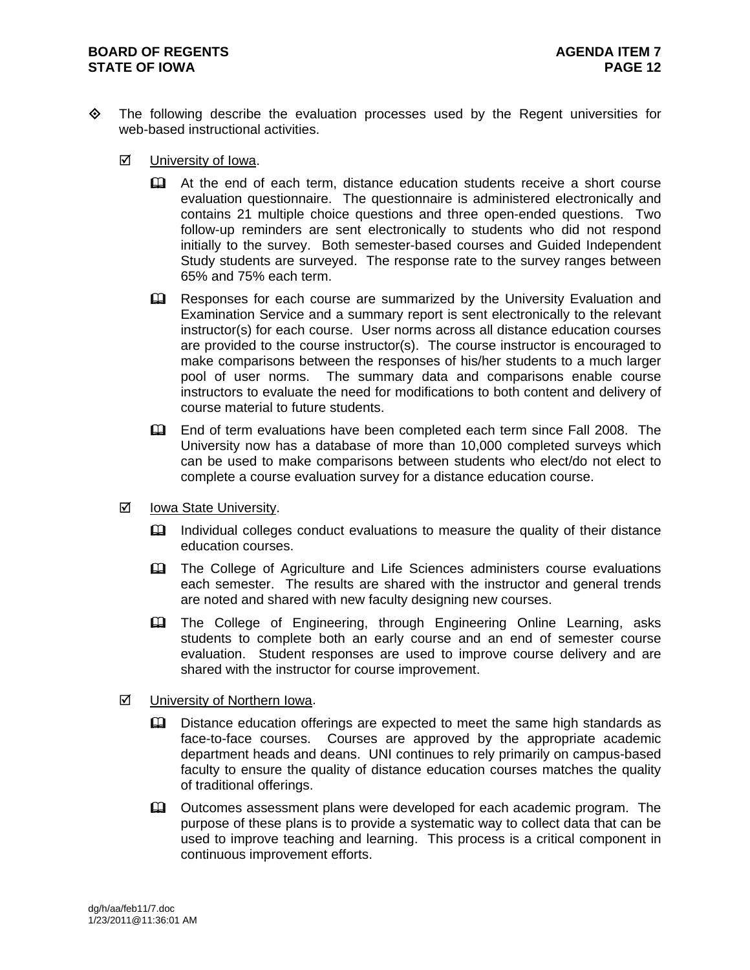#### **BOARD OF REGENTS AGENUAL LIMIT CONSUMING A SERIES AGENDA ITEM 7 STATE OF IOWA** PAGE 12

- The following describe the evaluation processes used by the Regent universities for web-based instructional activities.
	- **☑** University of Iowa.
		- At the end of each term, distance education students receive a short course evaluation questionnaire. The questionnaire is administered electronically and contains 21 multiple choice questions and three open-ended questions. Two follow-up reminders are sent electronically to students who did not respond initially to the survey. Both semester-based courses and Guided Independent Study students are surveyed. The response rate to the survey ranges between 65% and 75% each term.
		- **E. B. EXECT** Responses for each course are summarized by the University Evaluation and Examination Service and a summary report is sent electronically to the relevant instructor(s) for each course. User norms across all distance education courses are provided to the course instructor(s). The course instructor is encouraged to make comparisons between the responses of his/her students to a much larger pool of user norms. The summary data and comparisons enable course instructors to evaluate the need for modifications to both content and delivery of course material to future students.
		- End of term evaluations have been completed each term since Fall 2008. The University now has a database of more than 10,000 completed surveys which can be used to make comparisons between students who elect/do not elect to complete a course evaluation survey for a distance education course.
	- $\boxtimes$  Iowa State University.
		- Individual colleges conduct evaluations to measure the quality of their distance education courses.
		- The College of Agriculture and Life Sciences administers course evaluations each semester. The results are shared with the instructor and general trends are noted and shared with new faculty designing new courses.
		- The College of Engineering, through Engineering Online Learning, asks students to complete both an early course and an end of semester course evaluation. Student responses are used to improve course delivery and are shared with the instructor for course improvement.
	- University of Northern Iowa.
		- **E. Distance education offerings are expected to meet the same high standards as** face-to-face courses. Courses are approved by the appropriate academic department heads and deans. UNI continues to rely primarily on campus-based faculty to ensure the quality of distance education courses matches the quality of traditional offerings.
		- **Example 20** Outcomes assessment plans were developed for each academic program. The purpose of these plans is to provide a systematic way to collect data that can be used to improve teaching and learning. This process is a critical component in continuous improvement efforts.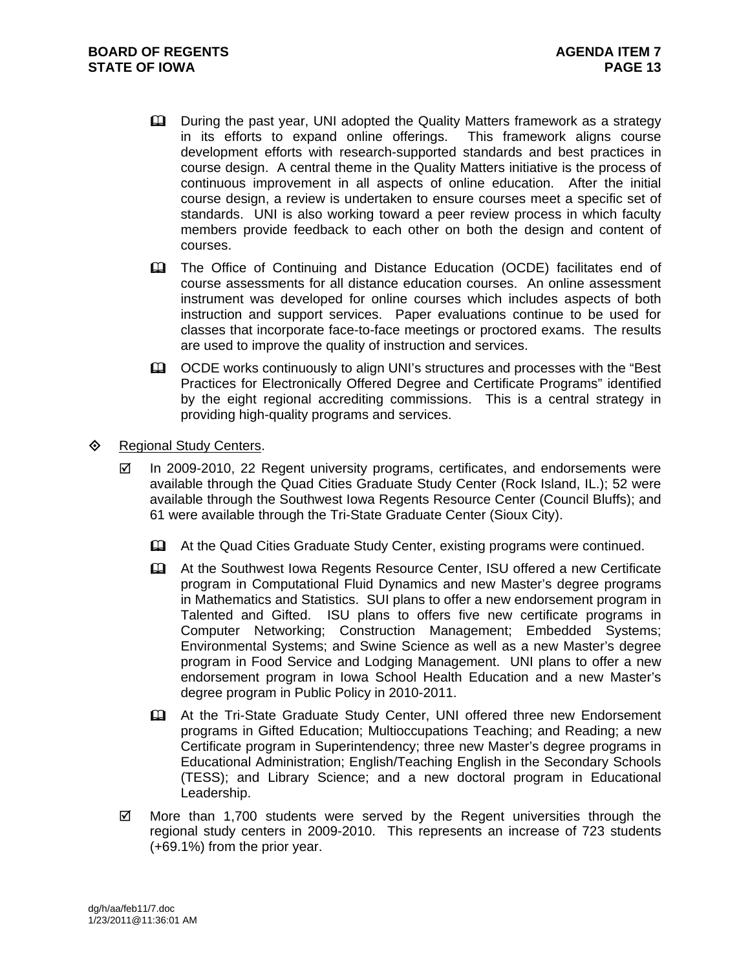- **Q.** During the past year, UNI adopted the Quality Matters framework as a strategy in its efforts to expand online offerings. This framework aligns course development efforts with research-supported standards and best practices in course design. A central theme in the Quality Matters initiative is the process of continuous improvement in all aspects of online education. After the initial course design, a review is undertaken to ensure courses meet a specific set of standards. UNI is also working toward a peer review process in which faculty members provide feedback to each other on both the design and content of courses.
- The Office of Continuing and Distance Education (OCDE) facilitates end of course assessments for all distance education courses. An online assessment instrument was developed for online courses which includes aspects of both instruction and support services. Paper evaluations continue to be used for classes that incorporate face-to-face meetings or proctored exams. The results are used to improve the quality of instruction and services.
- **EQUALTER CODE works continuously to align UNI's structures and processes with the "Best"** Practices for Electronically Offered Degree and Certificate Programs" identified by the eight regional accrediting commissions. This is a central strategy in providing high-quality programs and services.

## ♦ Regional Study Centers.

- $\boxtimes$  In 2009-2010, 22 Regent university programs, certificates, and endorsements were available through the Quad Cities Graduate Study Center (Rock Island, IL.); 52 were available through the Southwest Iowa Regents Resource Center (Council Bluffs); and 61 were available through the Tri-State Graduate Center (Sioux City).
	- At the Quad Cities Graduate Study Center, existing programs were continued.
	- At the Southwest Iowa Regents Resource Center, ISU offered a new Certificate program in Computational Fluid Dynamics and new Master's degree programs in Mathematics and Statistics. SUI plans to offer a new endorsement program in Talented and Gifted. ISU plans to offers five new certificate programs in Computer Networking; Construction Management; Embedded Systems; Environmental Systems; and Swine Science as well as a new Master's degree program in Food Service and Lodging Management. UNI plans to offer a new endorsement program in Iowa School Health Education and a new Master's degree program in Public Policy in 2010-2011.
	- At the Tri-State Graduate Study Center, UNI offered three new Endorsement programs in Gifted Education; Multioccupations Teaching; and Reading; a new Certificate program in Superintendency; three new Master's degree programs in Educational Administration; English/Teaching English in the Secondary Schools (TESS); and Library Science; and a new doctoral program in Educational Leadership.
- $\boxtimes$  More than 1,700 students were served by the Regent universities through the regional study centers in 2009-2010. This represents an increase of 723 students (+69.1%) from the prior year.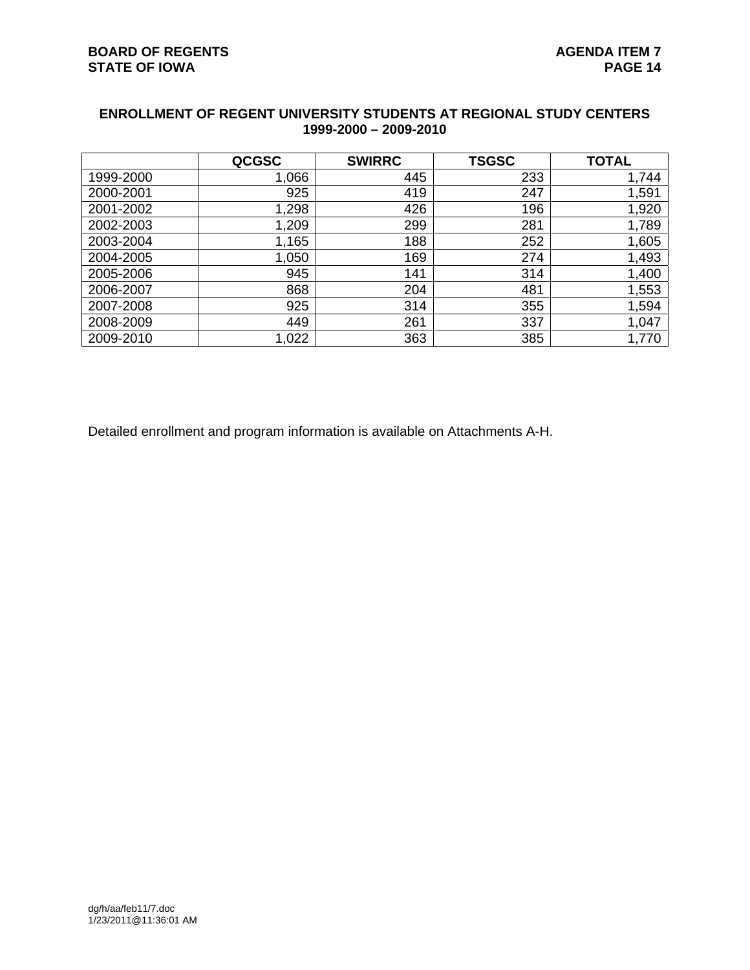| <b>ENROLLMENT OF REGENT UNIVERSITY STUDENTS AT REGIONAL STUDY CENTERS</b> |
|---------------------------------------------------------------------------|
| 1999-2000 - 2009-2010                                                     |

|           | <b>QCGSC</b> | <b>SWIRRC</b> | <b>TSGSC</b> | <b>TOTAL</b> |
|-----------|--------------|---------------|--------------|--------------|
| 1999-2000 | 1,066        | 445           | 233          | 1,744        |
| 2000-2001 | 925          | 419           | 247          | 1,591        |
| 2001-2002 | 1,298        | 426           | 196          | 1,920        |
| 2002-2003 | 1,209        | 299           | 281          | 1,789        |
| 2003-2004 | 1,165        | 188           | 252          | 1,605        |
| 2004-2005 | 1,050        | 169           | 274          | 1,493        |
| 2005-2006 | 945          | 141           | 314          | 1,400        |
| 2006-2007 | 868          | 204           | 481          | 1,553        |
| 2007-2008 | 925          | 314           | 355          | 1,594        |
| 2008-2009 | 449          | 261           | 337          | 1,047        |
| 2009-2010 | 1,022        | 363           | 385          | 1,770        |

Detailed enrollment and program information is available on Attachments A-H.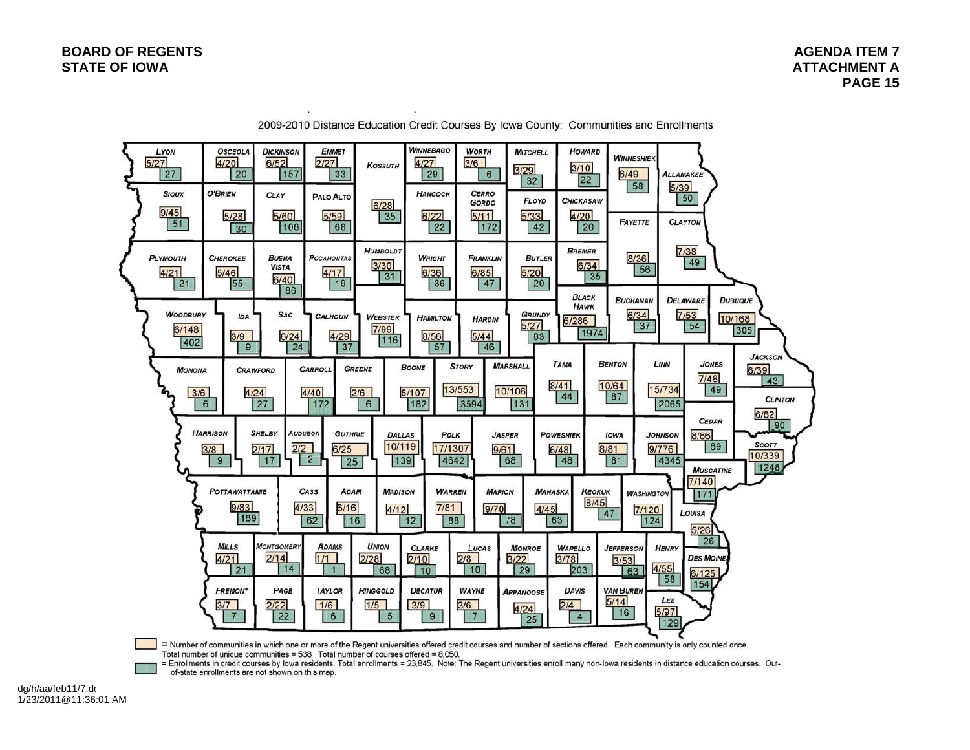| LYON<br>5/27<br>27<br><b>SIOUX</b><br>9/45<br>51 | <b>OSCEOLA</b><br>4/20<br>20<br><b>O'BRIEN</b><br>5/28<br>30           | <b>DICKINSON</b><br>6/52<br>157<br><b>CLAY</b><br>5/60<br>106 | <b>EMMET</b><br>2/27<br>33<br><b>PALO ALTO</b><br>5/59<br>68                                                         | <b>KOSSUTH</b><br>6/28<br>35                              | <b>WINNEBAGO</b><br>4/27<br>29<br><b>HANCOCK</b><br>6/22<br>22 | <b>WORTH</b><br>3/6<br>6<br><b>CERRO</b><br><b>GORDO</b><br>5/11<br>172 | <b>MITCHELL</b><br>3/29<br>32<br><b>FLOYD</b><br>5/33<br>42   | <b>HOWARD</b><br>3/10<br> 22 <br><b>CHICKASAW</b><br>4/20<br>20        | <b>WINNESHIEK</b><br>6/49<br>58<br>FAYETTE                       | <b>ALLAMAKEE</b><br>5/39<br>50<br><b>CLAYTON</b>                                                            |                                                                         |
|--------------------------------------------------|------------------------------------------------------------------------|---------------------------------------------------------------|----------------------------------------------------------------------------------------------------------------------|-----------------------------------------------------------|----------------------------------------------------------------|-------------------------------------------------------------------------|---------------------------------------------------------------|------------------------------------------------------------------------|------------------------------------------------------------------|-------------------------------------------------------------------------------------------------------------|-------------------------------------------------------------------------|
| <b>PLYMOUTH</b><br>4/21<br>21<br><b>WOODBURY</b> | <b>CHEROKEE</b><br>5/46<br>55<br><b>IDA</b>                            | <b>BUENA</b><br><b>VISTA</b><br>6/40<br>86<br><b>SAC</b>      | <b>POCAHONTAS</b><br>4/17<br>19<br><b>CALHOUN</b>                                                                    | <b>HUMBOLDT</b><br>3/30<br>31<br><b>WEBSTER</b>           | <b>WRIGHT</b><br>6/36<br>36<br><b>HAMILTON</b>                 | <b>FRANKLIN</b><br>6/85<br>47                                           | <b>BUTLER</b><br>5/20<br>20<br><b>GRUNDY</b>                  | <b>BREMER</b><br>6/34<br>35<br><b>BLACK</b><br><b>HAWK</b>             | 8/36<br>56<br><b>BUCHANAN</b><br>6/34                            | 7/38<br>49<br><b>DELAWARE</b><br>7/53                                                                       | <b>DUBUQUE</b>                                                          |
| 6/148<br>402<br><b>MONONA</b><br>3/6             | 3/9<br>9<br>6                                                          | 6/24<br>24<br><b>CRAWFORD</b><br>4/24<br>27                   | 4/29<br>37<br>CARROLL<br>4/40<br>172                                                                                 | 7/99<br>116<br><b>GREENE</b><br>2/6<br>6                  | 8/56<br>57<br><b>BOONE</b><br>5/107<br>182                     | <b>HARDIN</b><br>5/44<br>46<br><b>STORY</b><br>13/553<br>3594           | 5/27<br>83<br><b>MARSHALL</b><br>10/106<br>131                | 6/286<br>1974<br><b>TAMA</b><br>8/41<br>44                             | 37<br><b>BENTON</b><br>10/64<br>87                               | 54<br>LINN<br><b>JONES</b><br>7/48<br>15/734<br>49<br>2065                                                  | 10/168<br>305<br><b>JACKSON</b><br>6/39<br>43<br><b>CLINTON</b><br>6/82 |
|                                                  | <b>HARRISON</b><br>3/8<br>9<br>POTTAWATTAMIE<br>9/83<br>169            | <b>SHELBY</b><br>2/2<br>2/17<br>17                            | <b>AUDUBON</b><br><b>GUTHRIE</b><br>6/25<br>$\overline{2}$<br>25<br>CASS<br><b>ADAIR</b><br>4/33<br>6/16<br>62<br>16 | <b>DALLAS</b><br>10/119<br>139<br><b>MADISON</b><br>4/12  | <b>POLK</b><br>17/1307<br><b><i>WARREN</i></b><br>7/81<br>12   | 4642<br><b>MARION</b><br>9/70<br>88                                     | <b>JASPER</b><br>9/61<br>68<br><b>MAHASKA</b><br>4/45<br>78   | <b>POWESHIEK</b><br>6/48<br>48<br><b>KEOKUK</b><br>8/45<br>63          | IOWA<br>8/81<br>81<br><b>WASHINGTON</b><br>7/120<br>47<br>124    | <b>CEDAR</b><br>8/66<br><b>JOHNSON</b><br>69<br>9/776<br>4345<br><b>MUSCATINE</b><br>7/140<br>171<br>LOUISA | 90<br><b>SCOTT</b><br>10/339<br>1248                                    |
|                                                  | <b>MILLS</b><br>4/21<br>21<br><b>FREMONT</b><br>3/7<br>$7\phantom{.0}$ | <b>MONTGOMERY</b><br>2/14<br>14<br>PAGE<br>2/22<br>22         | <b>ADAMS</b><br>1/1<br>$\mathbf{1}$<br><b>TAYLOR</b><br>1/6<br>$6\phantom{.}6$                                       | <b>UNION</b><br>2/28<br>68<br><b>RINGGOLD</b><br>1/5<br>5 | <b>CLARKE</b><br>2/10<br>10<br><b>DECATUR</b><br>3/9<br>9      | LUCAS<br>2/8<br>10<br><b>WAYNE</b><br>3/6<br>$7\overline{ }$            | <b>MONROE</b><br>3/22<br>29<br><b>APPANOOSE</b><br>4/24<br>25 | <b>WAPELLO</b><br>3/78<br>203<br><b>DAVIS</b><br>2/4<br>$\overline{4}$ | <b>JEFFERSON</b><br>3/53<br>63<br><b>VAN BUREN</b><br>5/14<br>16 | 5/26<br>26<br><b>HENRY</b><br><b>DES MOINES</b><br>4/55<br>6/125<br>58<br>154<br>LEE<br>5/97<br>129         |                                                                         |

2009-2010 Distance Education Credit Courses By Iowa County: Communities and Enrollments

÷.

= Number of communities in which one or more of the Regent universities offered credit courses and number of sections offered. Each community is only counted once.<br>Total number of unique communities = 538. Total number of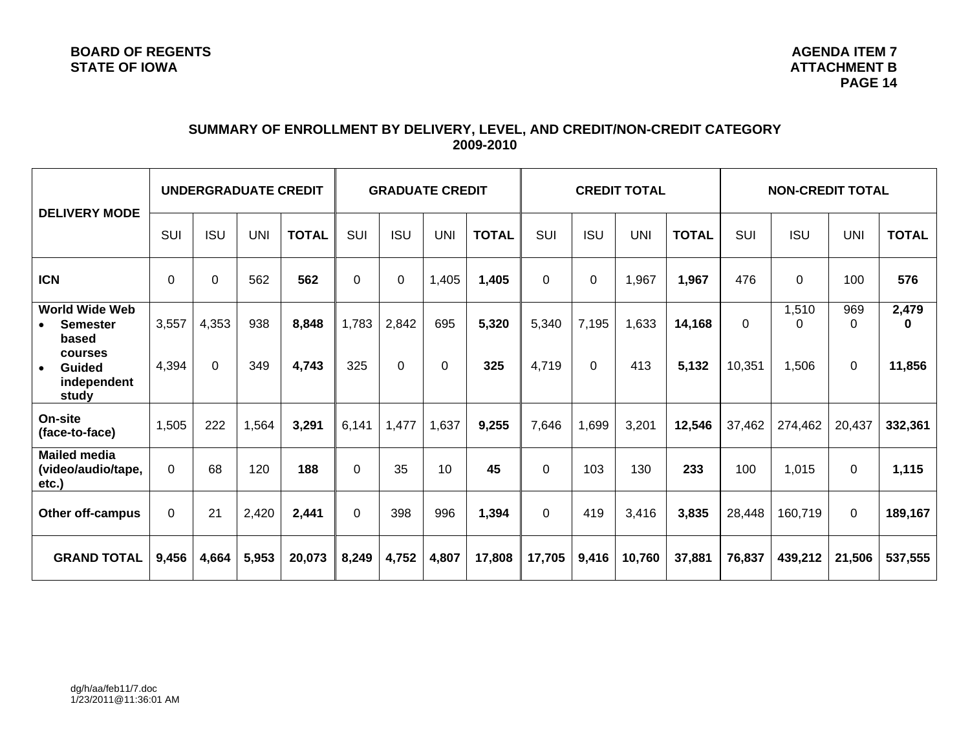# **SUMMARY OF ENROLLMENT BY DELIVERY, LEVEL, AND CREDIT/NON-CREDIT CATEGORY 2009-2010**

| <b>DELIVERY MODE</b>                                   | UNDERGRADUATE CREDIT |                |            | <b>GRADUATE CREDIT</b> |            |             | <b>CREDIT TOTAL</b> |              |             | <b>NON-CREDIT TOTAL</b> |            |              |            |             |                 |                   |
|--------------------------------------------------------|----------------------|----------------|------------|------------------------|------------|-------------|---------------------|--------------|-------------|-------------------------|------------|--------------|------------|-------------|-----------------|-------------------|
|                                                        | SUI                  | <b>ISU</b>     | <b>UNI</b> | <b>TOTAL</b>           | <b>SUI</b> | <b>ISU</b>  | <b>UNI</b>          | <b>TOTAL</b> | <b>SUI</b>  | <b>ISU</b>              | <b>UNI</b> | <b>TOTAL</b> | <b>SUI</b> | <b>ISU</b>  | <b>UNI</b>      | <b>TOTAL</b>      |
| <b>ICN</b>                                             | $\Omega$             | $\overline{0}$ | 562        | 562                    | $\Omega$   | $\mathbf 0$ | 1,405               | 1,405        | $\mathbf 0$ | $\mathbf 0$             | 1,967      | 1,967        | 476        | $\mathbf 0$ | 100             | 576               |
| <b>World Wide Web</b><br><b>Semester</b><br>based      | 3,557                | 4,353          | 938        | 8,848                  | 1,783      | 2,842       | 695                 | 5,320        | 5,340       | 7,195                   | 1,633      | 14,168       | $\Omega$   | 1,510<br>0  | 969<br>$\Omega$ | 2,479<br>$\bf{0}$ |
| courses<br>Guided<br>$\bullet$<br>independent<br>study | 4,394                | $\Omega$       | 349        | 4,743                  | 325        | 0           | 0                   | 325          | 4,719       | $\Omega$                | 413        | 5,132        | 10,351     | 1,506       | 0               | 11,856            |
| On-site<br>(face-to-face)                              | 1,505                | 222            | 1,564      | 3,291                  | 6,141      | 1,477       | 1,637               | 9,255        | 7,646       | 1,699                   | 3,201      | 12,546       | 37,462     | 274,462     | 20,437          | 332,361           |
| <b>Mailed media</b><br>(video/audio/tape,<br>etc.)     | $\Omega$             | 68             | 120        | 188                    | $\Omega$   | 35          | 10                  | 45           | $\Omega$    | 103                     | 130        | 233          | 100        | 1,015       | 0               | 1,115             |
| <b>Other off-campus</b>                                | $\Omega$             | 21             | 2,420      | 2,441                  | $\Omega$   | 398         | 996                 | 1,394        | $\Omega$    | 419                     | 3,416      | 3,835        | 28,448     | 160,719     | 0               | 189,167           |
| <b>GRAND TOTAL</b>                                     | 9,456                | 4,664          | 5,953      | 20,073                 | 8,249      | 4,752       | 4,807               | 17,808       | 17,705      | 9,416                   | 10,760     | 37,881       | 76,837     | 439,212     | 21,506          | 537,555           |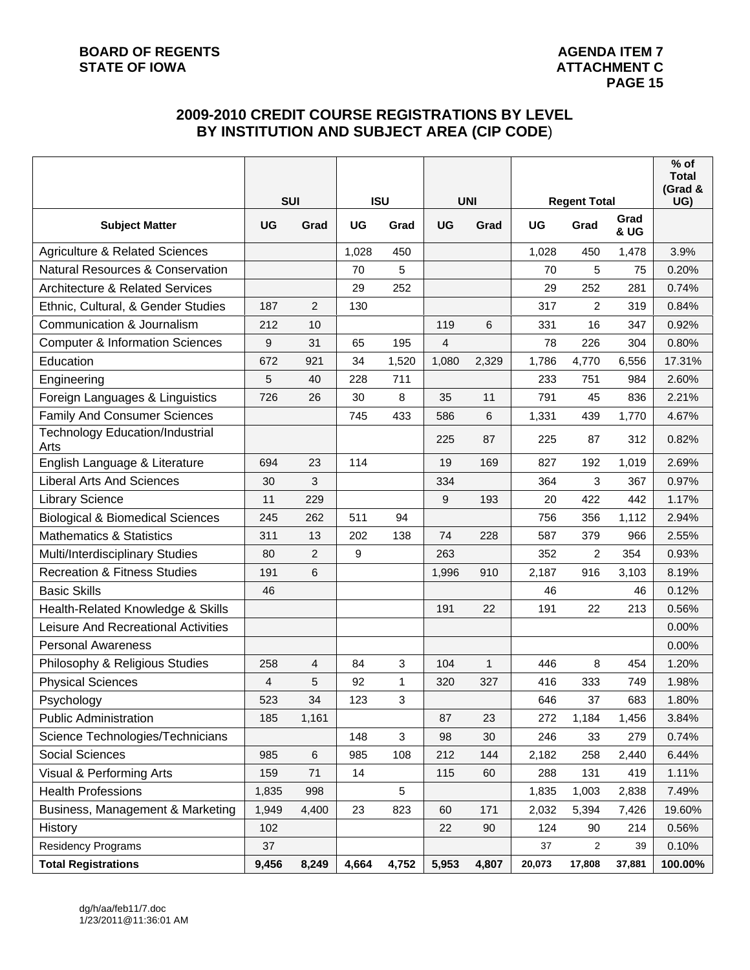# **2009-2010 CREDIT COURSE REGISTRATIONS BY LEVEL BY INSTITUTION AND SUBJECT AREA (CIP CODE**)

|                                             |            |                |           |            |       |            |           |                     |                         | $%$ of<br><b>Total</b> |
|---------------------------------------------|------------|----------------|-----------|------------|-------|------------|-----------|---------------------|-------------------------|------------------------|
|                                             | <b>SUI</b> |                |           | <b>ISU</b> |       | <b>UNI</b> |           | <b>Regent Total</b> |                         | (Grad &<br>UG)         |
| <b>Subject Matter</b>                       | <b>UG</b>  | Grad           | <b>UG</b> | Grad       | UG    | Grad       | <b>UG</b> | Grad                | Grad<br><b>&amp; UG</b> |                        |
| <b>Agriculture &amp; Related Sciences</b>   |            |                | 1,028     | 450        |       |            | 1,028     | 450                 | 1,478                   | 3.9%                   |
| <b>Natural Resources &amp; Conservation</b> |            |                | 70        | 5          |       |            | 70        | 5                   | 75                      | 0.20%                  |
| <b>Architecture &amp; Related Services</b>  |            |                | 29        | 252        |       |            | 29        | 252                 | 281                     | 0.74%                  |
| Ethnic, Cultural, & Gender Studies          | 187        | $\overline{c}$ | 130       |            |       |            | 317       | 2                   | 319                     | 0.84%                  |
| Communication & Journalism                  | 212        | 10             |           |            | 119   | 6          | 331       | 16                  | 347                     | 0.92%                  |
| <b>Computer &amp; Information Sciences</b>  | 9          | 31             | 65        | 195        | 4     |            | 78        | 226                 | 304                     | 0.80%                  |
| Education                                   | 672        | 921            | 34        | 1,520      | 1,080 | 2,329      | 1,786     | 4,770               | 6,556                   | 17.31%                 |
| Engineering                                 | 5          | 40             | 228       | 711        |       |            | 233       | 751                 | 984                     | 2.60%                  |
| Foreign Languages & Linguistics             | 726        | 26             | 30        | 8          | 35    | 11         | 791       | 45                  | 836                     | 2.21%                  |
| <b>Family And Consumer Sciences</b>         |            |                | 745       | 433        | 586   | 6          | 1,331     | 439                 | 1,770                   | 4.67%                  |
| Technology Education/Industrial<br>Arts     |            |                |           |            | 225   | 87         | 225       | 87                  | 312                     | 0.82%                  |
| English Language & Literature               | 694        | 23             | 114       |            | 19    | 169        | 827       | 192                 | 1,019                   | 2.69%                  |
| <b>Liberal Arts And Sciences</b>            | 30         | 3              |           |            | 334   |            | 364       | 3                   | 367                     | 0.97%                  |
| <b>Library Science</b>                      | 11         | 229            |           |            | 9     | 193        | 20        | 422                 | 442                     | 1.17%                  |
| <b>Biological &amp; Biomedical Sciences</b> | 245        | 262            | 511       | 94         |       |            | 756       | 356                 | 1,112                   | 2.94%                  |
| <b>Mathematics &amp; Statistics</b>         | 311        | 13             | 202       | 138        | 74    | 228        | 587       | 379                 | 966                     | 2.55%                  |
| Multi/Interdisciplinary Studies             | 80         | $\overline{2}$ | 9         |            | 263   |            | 352       | 2                   | 354                     | 0.93%                  |
| <b>Recreation &amp; Fitness Studies</b>     | 191        | 6              |           |            | 1,996 | 910        | 2,187     | 916                 | 3,103                   | 8.19%                  |
| <b>Basic Skills</b>                         | 46         |                |           |            |       |            | 46        |                     | 46                      | 0.12%                  |
| Health-Related Knowledge & Skills           |            |                |           |            | 191   | 22         | 191       | 22                  | 213                     | 0.56%                  |
| Leisure And Recreational Activities         |            |                |           |            |       |            |           |                     |                         | 0.00%                  |
| <b>Personal Awareness</b>                   |            |                |           |            |       |            |           |                     |                         | 0.00%                  |
| Philosophy & Religious Studies              | 258        | 4              | 84        | 3          | 104   | 1          | 446       | 8                   | 454                     | 1.20%                  |
| <b>Physical Sciences</b>                    | 4          | 5              | 92        | 1          | 320   | 327        | 416       | 333                 | 749                     | 1.98%                  |
| Psychology                                  | 523        | 34             | 123       | 3          |       |            | 646       | 37                  | 683                     | 1.80%                  |
| <b>Public Administration</b>                | 185        | 1,161          |           |            | 87    | 23         | 272       | 1,184               | 1,456                   | 3.84%                  |
| Science Technologies/Technicians            |            |                | 148       | 3          | 98    | 30         | 246       | 33                  | 279                     | 0.74%                  |
| Social Sciences                             | 985        | 6              | 985       | 108        | 212   | 144        | 2,182     | 258                 | 2,440                   | 6.44%                  |
| Visual & Performing Arts                    | 159        | 71             | 14        |            | 115   | 60         | 288       | 131                 | 419                     | 1.11%                  |
| <b>Health Professions</b>                   | 1,835      | 998            |           | 5          |       |            | 1,835     | 1,003               | 2,838                   | 7.49%                  |
| Business, Management & Marketing            | 1,949      | 4,400          | 23        | 823        | 60    | 171        | 2,032     | 5,394               | 7,426                   | 19.60%                 |
| History                                     | 102        |                |           |            | 22    | 90         | 124       | 90                  | 214                     | 0.56%                  |
| <b>Residency Programs</b>                   | 37         |                |           |            |       |            | 37        | $\overline{c}$      | 39                      | 0.10%                  |
| <b>Total Registrations</b>                  | 9,456      | 8,249          | 4,664     | 4,752      | 5,953 | 4,807      | 20,073    | 17,808              | 37,881                  | 100.00%                |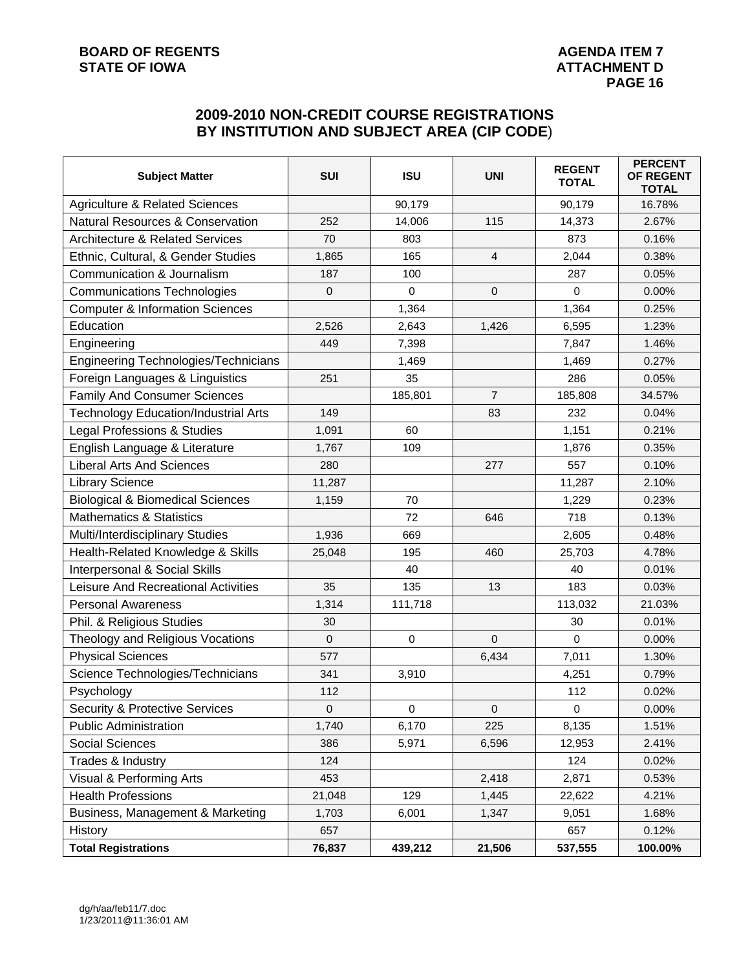# **2009-2010 NON-CREDIT COURSE REGISTRATIONS BY INSTITUTION AND SUBJECT AREA (CIP CODE**)

| <b>Subject Matter</b>                       | SUI         | <b>ISU</b>  | <b>UNI</b>     | <b>REGENT</b><br><b>TOTAL</b> | <b>PERCENT</b><br>OF REGENT<br><b>TOTAL</b> |
|---------------------------------------------|-------------|-------------|----------------|-------------------------------|---------------------------------------------|
| <b>Agriculture &amp; Related Sciences</b>   |             | 90,179      |                | 90,179                        | 16.78%                                      |
| <b>Natural Resources &amp; Conservation</b> | 252         | 14,006      | 115            | 14,373                        | 2.67%                                       |
| <b>Architecture &amp; Related Services</b>  | 70          | 803         |                | 873                           | 0.16%                                       |
| Ethnic, Cultural, & Gender Studies          | 1,865       | 165         | 4              | 2,044                         | 0.38%                                       |
| Communication & Journalism                  | 187         | 100         |                | 287                           | 0.05%                                       |
| <b>Communications Technologies</b>          | 0           | $\mathbf 0$ | $\mathbf{0}$   | 0                             | 0.00%                                       |
| <b>Computer &amp; Information Sciences</b>  |             | 1,364       |                | 1,364                         | 0.25%                                       |
| Education                                   | 2,526       | 2,643       | 1,426          | 6,595                         | 1.23%                                       |
| Engineering                                 | 449         | 7,398       |                | 7,847                         | 1.46%                                       |
| Engineering Technologies/Technicians        |             | 1,469       |                | 1,469                         | 0.27%                                       |
| Foreign Languages & Linguistics             | 251         | 35          |                | 286                           | 0.05%                                       |
| <b>Family And Consumer Sciences</b>         |             | 185,801     | $\overline{7}$ | 185,808                       | 34.57%                                      |
| <b>Technology Education/Industrial Arts</b> | 149         |             | 83             | 232                           | 0.04%                                       |
| Legal Professions & Studies                 | 1,091       | 60          |                | 1,151                         | 0.21%                                       |
| English Language & Literature               | 1,767       | 109         |                | 1,876                         | 0.35%                                       |
| <b>Liberal Arts And Sciences</b>            | 280         |             | 277            | 557                           | 0.10%                                       |
| <b>Library Science</b>                      | 11,287      |             |                | 11,287                        | 2.10%                                       |
| <b>Biological &amp; Biomedical Sciences</b> | 1,159       | 70          |                | 1,229                         | 0.23%                                       |
| <b>Mathematics &amp; Statistics</b>         |             | 72          | 646            | 718                           | 0.13%                                       |
| Multi/Interdisciplinary Studies             | 1,936       | 669         |                | 2,605                         | 0.48%                                       |
| Health-Related Knowledge & Skills           | 25,048      | 195         | 460            | 25,703                        | 4.78%                                       |
| <b>Interpersonal &amp; Social Skills</b>    |             | 40          |                | 40                            | 0.01%                                       |
| Leisure And Recreational Activities         | 35          | 135         | 13             | 183                           | 0.03%                                       |
| <b>Personal Awareness</b>                   | 1,314       | 111,718     |                | 113,032                       | 21.03%                                      |
| Phil. & Religious Studies                   | 30          |             |                | 30                            | 0.01%                                       |
| Theology and Religious Vocations            | $\mathbf 0$ | $\mathbf 0$ | $\mathbf 0$    | $\Omega$                      | 0.00%                                       |
| <b>Physical Sciences</b>                    | 577         |             | 6,434          | 7,011                         | 1.30%                                       |
| Science Technologies/Technicians            | 341         | 3,910       |                | 4,251                         | 0.79%                                       |
| Psychology                                  | 112         |             |                | 112                           | 0.02%                                       |
| <b>Security &amp; Protective Services</b>   | 0           | 0           | $\mathbf 0$    | 0                             | 0.00%                                       |
| <b>Public Administration</b>                | 1,740       | 6,170       | 225            | 8,135                         | 1.51%                                       |
| Social Sciences                             | 386         | 5,971       | 6,596          | 12,953                        | 2.41%                                       |
| Trades & Industry                           | 124         |             |                | 124                           | 0.02%                                       |
| Visual & Performing Arts                    | 453         |             | 2,418          | 2,871                         | 0.53%                                       |
| <b>Health Professions</b>                   | 21,048      | 129         | 1,445          | 22,622                        | 4.21%                                       |
| Business, Management & Marketing            | 1,703       | 6,001       | 1,347          | 9,051                         | 1.68%                                       |
| History                                     | 657         |             |                | 657                           | 0.12%                                       |
| <b>Total Registrations</b>                  | 76,837      | 439,212     | 21,506         | 537,555                       | 100.00%                                     |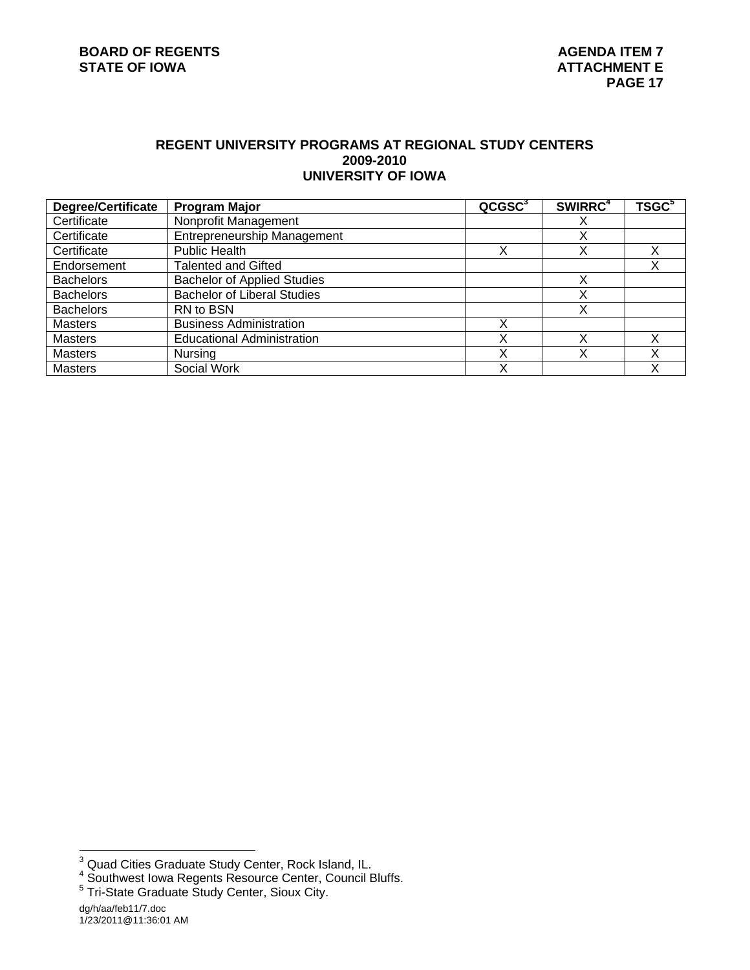## **REGENT UNIVERSITY PROGRAMS AT REGIONAL STUDY CENTERS 2009-2010 UNIVERSITY OF IOWA**

| <b>Degree/Certificate</b> | <b>Program Major</b>               | QCGSC <sup>3</sup> | SWIRRC <sup>4</sup> | <b>TSGC<sup>5</sup></b> |
|---------------------------|------------------------------------|--------------------|---------------------|-------------------------|
| Certificate               | Nonprofit Management               |                    |                     |                         |
| Certificate               | <b>Entrepreneurship Management</b> |                    |                     |                         |
| Certificate               | <b>Public Health</b>               | Χ                  |                     |                         |
| Endorsement               | Talented and Gifted                |                    |                     |                         |
| <b>Bachelors</b>          | <b>Bachelor of Applied Studies</b> |                    |                     |                         |
| <b>Bachelors</b>          | <b>Bachelor of Liberal Studies</b> |                    |                     |                         |
| <b>Bachelors</b>          | RN to BSN                          |                    |                     |                         |
| <b>Masters</b>            | <b>Business Administration</b>     | x                  |                     |                         |
| <b>Masters</b>            | <b>Educational Administration</b>  | Х                  |                     |                         |
| Masters                   | Nursing                            | Χ                  |                     |                         |
| <b>Masters</b>            | Social Work                        | X                  |                     |                         |

<sup>&</sup>lt;sup>3</sup> Quad Cities Graduate Study Center, Rock Island, IL.<br><sup>4</sup> Southwest Iowa Regents Resource Center, Council Bluffs.<br><sup>5</sup> Tri-State Graduate Study Center, Sioux City.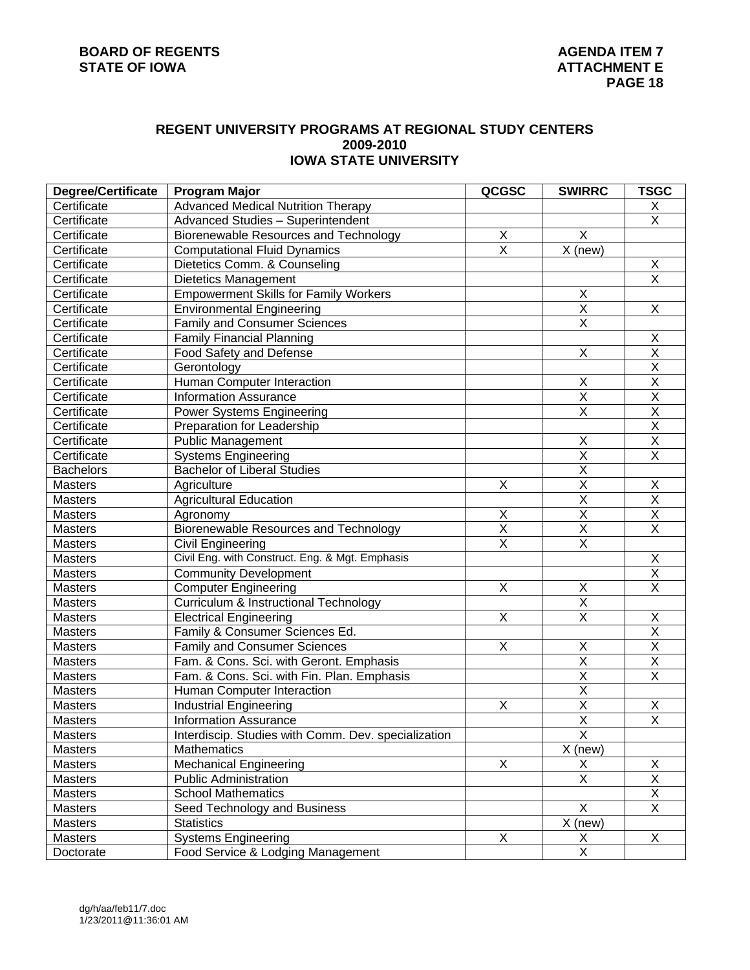# **REGENT UNIVERSITY PROGRAMS AT REGIONAL STUDY CENTERS 2009-2010 IOWA STATE UNIVERSITY**

| Certificate<br><b>Advanced Medical Nutrition Therapy</b><br>Χ<br>$\overline{\mathsf{X}}$<br>Certificate<br>Advanced Studies - Superintendent<br>X<br>$\mathsf X$<br>Certificate<br>Biorenewable Resources and Technology<br>$\overline{\mathsf{x}}$<br>$\overline{X}$ (new)<br>Certificate<br><b>Computational Fluid Dynamics</b><br>Χ<br>Certificate<br>Dietetics Comm. & Counseling<br>$\overline{\mathsf{x}}$<br>Certificate<br><b>Dietetics Management</b><br>$\mathsf X$<br>Certificate<br><b>Empowerment Skills for Family Workers</b><br>$\overline{\mathsf{x}}$<br>X<br>Certificate<br><b>Environmental Engineering</b><br>$\overline{\mathsf{x}}$<br>Certificate<br><b>Family and Consumer Sciences</b><br>Certificate<br>Χ<br><b>Family Financial Planning</b><br>$\overline{\mathsf{x}}$<br>$\overline{\mathsf{x}}$<br>Certificate<br>Food Safety and Defense<br>$\overline{\mathsf{x}}$<br>Certificate<br>Gerontology<br>$\overline{\mathsf{x}}$<br>X<br>Certificate<br>Human Computer Interaction<br>$\overline{\mathsf{X}}$<br>$\overline{\mathsf{x}}$<br>Certificate<br><b>Information Assurance</b><br>$\overline{\mathsf{x}}$<br>$\overline{\mathsf{x}}$<br>Certificate<br>Power Systems Engineering<br>$\overline{\mathsf{x}}$<br>Certificate<br>Preparation for Leadership<br>$\overline{\mathsf{x}}$<br>$\overline{X}$<br><b>Public Management</b><br>Certificate<br>$\overline{\mathsf{x}}$<br>$\overline{\mathsf{x}}$<br>Certificate<br><b>Systems Engineering</b><br>$\overline{\mathsf{X}}$<br><b>Bachelors</b><br><b>Bachelor of Liberal Studies</b><br>$\overline{\mathsf{x}}$<br>$\overline{\mathsf{X}}$<br>X<br><b>Masters</b><br>Agriculture<br>$\overline{\mathsf{X}}$<br>$\overline{\mathsf{x}}$<br><b>Masters</b><br><b>Agricultural Education</b><br>$\overline{\mathsf{x}}$<br>$\overline{\mathsf{x}}$<br>X<br><b>Masters</b><br>Agronomy<br>$\overline{\mathsf{X}}$<br>$\overline{\mathsf{x}}$<br>$\overline{\mathsf{x}}$<br><b>Biorenewable Resources and Technology</b><br>Masters<br>$\overline{\mathsf{x}}$<br>$\overline{\mathsf{x}}$<br>Masters<br>Civil Engineering<br>Civil Eng. with Construct. Eng. & Mgt. Emphasis<br>Χ<br>Masters<br>$\overline{\mathsf{x}}$<br><b>Community Development</b><br>Masters<br>$\overline{\mathsf{x}}$<br>$\overline{X}$<br>X<br>Computer Engineering<br>Masters<br>$\overline{\mathsf{X}}$<br>Masters<br>Curriculum & Instructional Technology<br>$\overline{\mathsf{x}}$<br>X<br>Χ<br><b>Electrical Engineering</b><br>Masters<br>$\overline{\mathsf{x}}$<br>Family & Consumer Sciences Ed.<br>Masters<br>$\overline{\mathsf{x}}$<br>$\overline{X}$<br><b>Family and Consumer Sciences</b><br>Χ<br>Masters<br>$\overline{\mathsf{x}}$<br>$\overline{\mathsf{x}}$<br>Masters<br>Fam. & Cons. Sci. with Geront. Emphasis<br>$\overline{\mathsf{X}}$<br>$\overline{\mathsf{x}}$<br>Masters<br>Fam. & Cons. Sci. with Fin. Plan. Emphasis<br>$\overline{\mathsf{X}}$<br>Masters<br>Human Computer Interaction<br>$\overline{\mathsf{X}}$<br>Χ<br><b>Masters</b><br><b>Industrial Engineering</b><br>Χ<br>$\overline{\mathsf{X}}$<br>$\overline{\mathsf{x}}$<br><b>Information Assurance</b><br><b>Masters</b><br>$\overline{\mathsf{X}}$<br>Interdiscip. Studies with Comm. Dev. specialization<br>Masters<br>X (new)<br>Mathematics<br>Masters<br><b>Mechanical Engineering</b><br>X<br>Χ<br>Masters<br>X<br>$\overline{\mathsf{x}}$<br>$\overline{\mathsf{x}}$<br>Masters<br><b>Public Administration</b><br>$\overline{\mathsf{X}}$<br><b>School Mathematics</b><br>Masters<br>$\overline{\mathsf{X}}$<br>X<br>Seed Technology and Business<br>Masters<br>X (new)<br><b>Statistics</b><br>Masters<br><b>Systems Engineering</b><br>X<br>Masters<br>X<br>X | <b>Degree/Certificate</b> | <b>Program Major</b>              | QCGSC | <b>SWIRRC</b>           | <b>TSGC</b> |
|---------------------------------------------------------------------------------------------------------------------------------------------------------------------------------------------------------------------------------------------------------------------------------------------------------------------------------------------------------------------------------------------------------------------------------------------------------------------------------------------------------------------------------------------------------------------------------------------------------------------------------------------------------------------------------------------------------------------------------------------------------------------------------------------------------------------------------------------------------------------------------------------------------------------------------------------------------------------------------------------------------------------------------------------------------------------------------------------------------------------------------------------------------------------------------------------------------------------------------------------------------------------------------------------------------------------------------------------------------------------------------------------------------------------------------------------------------------------------------------------------------------------------------------------------------------------------------------------------------------------------------------------------------------------------------------------------------------------------------------------------------------------------------------------------------------------------------------------------------------------------------------------------------------------------------------------------------------------------------------------------------------------------------------------------------------------------------------------------------------------------------------------------------------------------------------------------------------------------------------------------------------------------------------------------------------------------------------------------------------------------------------------------------------------------------------------------------------------------------------------------------------------------------------------------------------------------------------------------------------------------------------------------------------------------------------------------------------------------------------------------------------------------------------------------------------------------------------------------------------------------------------------------------------------------------------------------------------------------------------------------------------------------------------------------------------------------------------------------------------------------------------------------------------------------------------------------------------------------------------------------------------------------------------------------------------------------------------------------------------------------------------------------------------------------------------------------------------------------------------------------------------------------------------------------------------------------------------------------------------------------------------------------------------------------------------------------------------------------------------|---------------------------|-----------------------------------|-------|-------------------------|-------------|
|                                                                                                                                                                                                                                                                                                                                                                                                                                                                                                                                                                                                                                                                                                                                                                                                                                                                                                                                                                                                                                                                                                                                                                                                                                                                                                                                                                                                                                                                                                                                                                                                                                                                                                                                                                                                                                                                                                                                                                                                                                                                                                                                                                                                                                                                                                                                                                                                                                                                                                                                                                                                                                                                                                                                                                                                                                                                                                                                                                                                                                                                                                                                                                                                                                                                                                                                                                                                                                                                                                                                                                                                                                                                                                                                       |                           |                                   |       |                         |             |
|                                                                                                                                                                                                                                                                                                                                                                                                                                                                                                                                                                                                                                                                                                                                                                                                                                                                                                                                                                                                                                                                                                                                                                                                                                                                                                                                                                                                                                                                                                                                                                                                                                                                                                                                                                                                                                                                                                                                                                                                                                                                                                                                                                                                                                                                                                                                                                                                                                                                                                                                                                                                                                                                                                                                                                                                                                                                                                                                                                                                                                                                                                                                                                                                                                                                                                                                                                                                                                                                                                                                                                                                                                                                                                                                       |                           |                                   |       |                         |             |
|                                                                                                                                                                                                                                                                                                                                                                                                                                                                                                                                                                                                                                                                                                                                                                                                                                                                                                                                                                                                                                                                                                                                                                                                                                                                                                                                                                                                                                                                                                                                                                                                                                                                                                                                                                                                                                                                                                                                                                                                                                                                                                                                                                                                                                                                                                                                                                                                                                                                                                                                                                                                                                                                                                                                                                                                                                                                                                                                                                                                                                                                                                                                                                                                                                                                                                                                                                                                                                                                                                                                                                                                                                                                                                                                       |                           |                                   |       |                         |             |
|                                                                                                                                                                                                                                                                                                                                                                                                                                                                                                                                                                                                                                                                                                                                                                                                                                                                                                                                                                                                                                                                                                                                                                                                                                                                                                                                                                                                                                                                                                                                                                                                                                                                                                                                                                                                                                                                                                                                                                                                                                                                                                                                                                                                                                                                                                                                                                                                                                                                                                                                                                                                                                                                                                                                                                                                                                                                                                                                                                                                                                                                                                                                                                                                                                                                                                                                                                                                                                                                                                                                                                                                                                                                                                                                       |                           |                                   |       |                         |             |
|                                                                                                                                                                                                                                                                                                                                                                                                                                                                                                                                                                                                                                                                                                                                                                                                                                                                                                                                                                                                                                                                                                                                                                                                                                                                                                                                                                                                                                                                                                                                                                                                                                                                                                                                                                                                                                                                                                                                                                                                                                                                                                                                                                                                                                                                                                                                                                                                                                                                                                                                                                                                                                                                                                                                                                                                                                                                                                                                                                                                                                                                                                                                                                                                                                                                                                                                                                                                                                                                                                                                                                                                                                                                                                                                       |                           |                                   |       |                         |             |
|                                                                                                                                                                                                                                                                                                                                                                                                                                                                                                                                                                                                                                                                                                                                                                                                                                                                                                                                                                                                                                                                                                                                                                                                                                                                                                                                                                                                                                                                                                                                                                                                                                                                                                                                                                                                                                                                                                                                                                                                                                                                                                                                                                                                                                                                                                                                                                                                                                                                                                                                                                                                                                                                                                                                                                                                                                                                                                                                                                                                                                                                                                                                                                                                                                                                                                                                                                                                                                                                                                                                                                                                                                                                                                                                       |                           |                                   |       |                         |             |
|                                                                                                                                                                                                                                                                                                                                                                                                                                                                                                                                                                                                                                                                                                                                                                                                                                                                                                                                                                                                                                                                                                                                                                                                                                                                                                                                                                                                                                                                                                                                                                                                                                                                                                                                                                                                                                                                                                                                                                                                                                                                                                                                                                                                                                                                                                                                                                                                                                                                                                                                                                                                                                                                                                                                                                                                                                                                                                                                                                                                                                                                                                                                                                                                                                                                                                                                                                                                                                                                                                                                                                                                                                                                                                                                       |                           |                                   |       |                         |             |
|                                                                                                                                                                                                                                                                                                                                                                                                                                                                                                                                                                                                                                                                                                                                                                                                                                                                                                                                                                                                                                                                                                                                                                                                                                                                                                                                                                                                                                                                                                                                                                                                                                                                                                                                                                                                                                                                                                                                                                                                                                                                                                                                                                                                                                                                                                                                                                                                                                                                                                                                                                                                                                                                                                                                                                                                                                                                                                                                                                                                                                                                                                                                                                                                                                                                                                                                                                                                                                                                                                                                                                                                                                                                                                                                       |                           |                                   |       |                         |             |
|                                                                                                                                                                                                                                                                                                                                                                                                                                                                                                                                                                                                                                                                                                                                                                                                                                                                                                                                                                                                                                                                                                                                                                                                                                                                                                                                                                                                                                                                                                                                                                                                                                                                                                                                                                                                                                                                                                                                                                                                                                                                                                                                                                                                                                                                                                                                                                                                                                                                                                                                                                                                                                                                                                                                                                                                                                                                                                                                                                                                                                                                                                                                                                                                                                                                                                                                                                                                                                                                                                                                                                                                                                                                                                                                       |                           |                                   |       |                         |             |
|                                                                                                                                                                                                                                                                                                                                                                                                                                                                                                                                                                                                                                                                                                                                                                                                                                                                                                                                                                                                                                                                                                                                                                                                                                                                                                                                                                                                                                                                                                                                                                                                                                                                                                                                                                                                                                                                                                                                                                                                                                                                                                                                                                                                                                                                                                                                                                                                                                                                                                                                                                                                                                                                                                                                                                                                                                                                                                                                                                                                                                                                                                                                                                                                                                                                                                                                                                                                                                                                                                                                                                                                                                                                                                                                       |                           |                                   |       |                         |             |
|                                                                                                                                                                                                                                                                                                                                                                                                                                                                                                                                                                                                                                                                                                                                                                                                                                                                                                                                                                                                                                                                                                                                                                                                                                                                                                                                                                                                                                                                                                                                                                                                                                                                                                                                                                                                                                                                                                                                                                                                                                                                                                                                                                                                                                                                                                                                                                                                                                                                                                                                                                                                                                                                                                                                                                                                                                                                                                                                                                                                                                                                                                                                                                                                                                                                                                                                                                                                                                                                                                                                                                                                                                                                                                                                       |                           |                                   |       |                         |             |
|                                                                                                                                                                                                                                                                                                                                                                                                                                                                                                                                                                                                                                                                                                                                                                                                                                                                                                                                                                                                                                                                                                                                                                                                                                                                                                                                                                                                                                                                                                                                                                                                                                                                                                                                                                                                                                                                                                                                                                                                                                                                                                                                                                                                                                                                                                                                                                                                                                                                                                                                                                                                                                                                                                                                                                                                                                                                                                                                                                                                                                                                                                                                                                                                                                                                                                                                                                                                                                                                                                                                                                                                                                                                                                                                       |                           |                                   |       |                         |             |
|                                                                                                                                                                                                                                                                                                                                                                                                                                                                                                                                                                                                                                                                                                                                                                                                                                                                                                                                                                                                                                                                                                                                                                                                                                                                                                                                                                                                                                                                                                                                                                                                                                                                                                                                                                                                                                                                                                                                                                                                                                                                                                                                                                                                                                                                                                                                                                                                                                                                                                                                                                                                                                                                                                                                                                                                                                                                                                                                                                                                                                                                                                                                                                                                                                                                                                                                                                                                                                                                                                                                                                                                                                                                                                                                       |                           |                                   |       |                         |             |
|                                                                                                                                                                                                                                                                                                                                                                                                                                                                                                                                                                                                                                                                                                                                                                                                                                                                                                                                                                                                                                                                                                                                                                                                                                                                                                                                                                                                                                                                                                                                                                                                                                                                                                                                                                                                                                                                                                                                                                                                                                                                                                                                                                                                                                                                                                                                                                                                                                                                                                                                                                                                                                                                                                                                                                                                                                                                                                                                                                                                                                                                                                                                                                                                                                                                                                                                                                                                                                                                                                                                                                                                                                                                                                                                       |                           |                                   |       |                         |             |
|                                                                                                                                                                                                                                                                                                                                                                                                                                                                                                                                                                                                                                                                                                                                                                                                                                                                                                                                                                                                                                                                                                                                                                                                                                                                                                                                                                                                                                                                                                                                                                                                                                                                                                                                                                                                                                                                                                                                                                                                                                                                                                                                                                                                                                                                                                                                                                                                                                                                                                                                                                                                                                                                                                                                                                                                                                                                                                                                                                                                                                                                                                                                                                                                                                                                                                                                                                                                                                                                                                                                                                                                                                                                                                                                       |                           |                                   |       |                         |             |
|                                                                                                                                                                                                                                                                                                                                                                                                                                                                                                                                                                                                                                                                                                                                                                                                                                                                                                                                                                                                                                                                                                                                                                                                                                                                                                                                                                                                                                                                                                                                                                                                                                                                                                                                                                                                                                                                                                                                                                                                                                                                                                                                                                                                                                                                                                                                                                                                                                                                                                                                                                                                                                                                                                                                                                                                                                                                                                                                                                                                                                                                                                                                                                                                                                                                                                                                                                                                                                                                                                                                                                                                                                                                                                                                       |                           |                                   |       |                         |             |
|                                                                                                                                                                                                                                                                                                                                                                                                                                                                                                                                                                                                                                                                                                                                                                                                                                                                                                                                                                                                                                                                                                                                                                                                                                                                                                                                                                                                                                                                                                                                                                                                                                                                                                                                                                                                                                                                                                                                                                                                                                                                                                                                                                                                                                                                                                                                                                                                                                                                                                                                                                                                                                                                                                                                                                                                                                                                                                                                                                                                                                                                                                                                                                                                                                                                                                                                                                                                                                                                                                                                                                                                                                                                                                                                       |                           |                                   |       |                         |             |
|                                                                                                                                                                                                                                                                                                                                                                                                                                                                                                                                                                                                                                                                                                                                                                                                                                                                                                                                                                                                                                                                                                                                                                                                                                                                                                                                                                                                                                                                                                                                                                                                                                                                                                                                                                                                                                                                                                                                                                                                                                                                                                                                                                                                                                                                                                                                                                                                                                                                                                                                                                                                                                                                                                                                                                                                                                                                                                                                                                                                                                                                                                                                                                                                                                                                                                                                                                                                                                                                                                                                                                                                                                                                                                                                       |                           |                                   |       |                         |             |
|                                                                                                                                                                                                                                                                                                                                                                                                                                                                                                                                                                                                                                                                                                                                                                                                                                                                                                                                                                                                                                                                                                                                                                                                                                                                                                                                                                                                                                                                                                                                                                                                                                                                                                                                                                                                                                                                                                                                                                                                                                                                                                                                                                                                                                                                                                                                                                                                                                                                                                                                                                                                                                                                                                                                                                                                                                                                                                                                                                                                                                                                                                                                                                                                                                                                                                                                                                                                                                                                                                                                                                                                                                                                                                                                       |                           |                                   |       |                         |             |
|                                                                                                                                                                                                                                                                                                                                                                                                                                                                                                                                                                                                                                                                                                                                                                                                                                                                                                                                                                                                                                                                                                                                                                                                                                                                                                                                                                                                                                                                                                                                                                                                                                                                                                                                                                                                                                                                                                                                                                                                                                                                                                                                                                                                                                                                                                                                                                                                                                                                                                                                                                                                                                                                                                                                                                                                                                                                                                                                                                                                                                                                                                                                                                                                                                                                                                                                                                                                                                                                                                                                                                                                                                                                                                                                       |                           |                                   |       |                         |             |
|                                                                                                                                                                                                                                                                                                                                                                                                                                                                                                                                                                                                                                                                                                                                                                                                                                                                                                                                                                                                                                                                                                                                                                                                                                                                                                                                                                                                                                                                                                                                                                                                                                                                                                                                                                                                                                                                                                                                                                                                                                                                                                                                                                                                                                                                                                                                                                                                                                                                                                                                                                                                                                                                                                                                                                                                                                                                                                                                                                                                                                                                                                                                                                                                                                                                                                                                                                                                                                                                                                                                                                                                                                                                                                                                       |                           |                                   |       |                         |             |
|                                                                                                                                                                                                                                                                                                                                                                                                                                                                                                                                                                                                                                                                                                                                                                                                                                                                                                                                                                                                                                                                                                                                                                                                                                                                                                                                                                                                                                                                                                                                                                                                                                                                                                                                                                                                                                                                                                                                                                                                                                                                                                                                                                                                                                                                                                                                                                                                                                                                                                                                                                                                                                                                                                                                                                                                                                                                                                                                                                                                                                                                                                                                                                                                                                                                                                                                                                                                                                                                                                                                                                                                                                                                                                                                       |                           |                                   |       |                         |             |
|                                                                                                                                                                                                                                                                                                                                                                                                                                                                                                                                                                                                                                                                                                                                                                                                                                                                                                                                                                                                                                                                                                                                                                                                                                                                                                                                                                                                                                                                                                                                                                                                                                                                                                                                                                                                                                                                                                                                                                                                                                                                                                                                                                                                                                                                                                                                                                                                                                                                                                                                                                                                                                                                                                                                                                                                                                                                                                                                                                                                                                                                                                                                                                                                                                                                                                                                                                                                                                                                                                                                                                                                                                                                                                                                       |                           |                                   |       |                         |             |
|                                                                                                                                                                                                                                                                                                                                                                                                                                                                                                                                                                                                                                                                                                                                                                                                                                                                                                                                                                                                                                                                                                                                                                                                                                                                                                                                                                                                                                                                                                                                                                                                                                                                                                                                                                                                                                                                                                                                                                                                                                                                                                                                                                                                                                                                                                                                                                                                                                                                                                                                                                                                                                                                                                                                                                                                                                                                                                                                                                                                                                                                                                                                                                                                                                                                                                                                                                                                                                                                                                                                                                                                                                                                                                                                       |                           |                                   |       |                         |             |
|                                                                                                                                                                                                                                                                                                                                                                                                                                                                                                                                                                                                                                                                                                                                                                                                                                                                                                                                                                                                                                                                                                                                                                                                                                                                                                                                                                                                                                                                                                                                                                                                                                                                                                                                                                                                                                                                                                                                                                                                                                                                                                                                                                                                                                                                                                                                                                                                                                                                                                                                                                                                                                                                                                                                                                                                                                                                                                                                                                                                                                                                                                                                                                                                                                                                                                                                                                                                                                                                                                                                                                                                                                                                                                                                       |                           |                                   |       |                         |             |
|                                                                                                                                                                                                                                                                                                                                                                                                                                                                                                                                                                                                                                                                                                                                                                                                                                                                                                                                                                                                                                                                                                                                                                                                                                                                                                                                                                                                                                                                                                                                                                                                                                                                                                                                                                                                                                                                                                                                                                                                                                                                                                                                                                                                                                                                                                                                                                                                                                                                                                                                                                                                                                                                                                                                                                                                                                                                                                                                                                                                                                                                                                                                                                                                                                                                                                                                                                                                                                                                                                                                                                                                                                                                                                                                       |                           |                                   |       |                         |             |
|                                                                                                                                                                                                                                                                                                                                                                                                                                                                                                                                                                                                                                                                                                                                                                                                                                                                                                                                                                                                                                                                                                                                                                                                                                                                                                                                                                                                                                                                                                                                                                                                                                                                                                                                                                                                                                                                                                                                                                                                                                                                                                                                                                                                                                                                                                                                                                                                                                                                                                                                                                                                                                                                                                                                                                                                                                                                                                                                                                                                                                                                                                                                                                                                                                                                                                                                                                                                                                                                                                                                                                                                                                                                                                                                       |                           |                                   |       |                         |             |
|                                                                                                                                                                                                                                                                                                                                                                                                                                                                                                                                                                                                                                                                                                                                                                                                                                                                                                                                                                                                                                                                                                                                                                                                                                                                                                                                                                                                                                                                                                                                                                                                                                                                                                                                                                                                                                                                                                                                                                                                                                                                                                                                                                                                                                                                                                                                                                                                                                                                                                                                                                                                                                                                                                                                                                                                                                                                                                                                                                                                                                                                                                                                                                                                                                                                                                                                                                                                                                                                                                                                                                                                                                                                                                                                       |                           |                                   |       |                         |             |
|                                                                                                                                                                                                                                                                                                                                                                                                                                                                                                                                                                                                                                                                                                                                                                                                                                                                                                                                                                                                                                                                                                                                                                                                                                                                                                                                                                                                                                                                                                                                                                                                                                                                                                                                                                                                                                                                                                                                                                                                                                                                                                                                                                                                                                                                                                                                                                                                                                                                                                                                                                                                                                                                                                                                                                                                                                                                                                                                                                                                                                                                                                                                                                                                                                                                                                                                                                                                                                                                                                                                                                                                                                                                                                                                       |                           |                                   |       |                         |             |
|                                                                                                                                                                                                                                                                                                                                                                                                                                                                                                                                                                                                                                                                                                                                                                                                                                                                                                                                                                                                                                                                                                                                                                                                                                                                                                                                                                                                                                                                                                                                                                                                                                                                                                                                                                                                                                                                                                                                                                                                                                                                                                                                                                                                                                                                                                                                                                                                                                                                                                                                                                                                                                                                                                                                                                                                                                                                                                                                                                                                                                                                                                                                                                                                                                                                                                                                                                                                                                                                                                                                                                                                                                                                                                                                       |                           |                                   |       |                         |             |
|                                                                                                                                                                                                                                                                                                                                                                                                                                                                                                                                                                                                                                                                                                                                                                                                                                                                                                                                                                                                                                                                                                                                                                                                                                                                                                                                                                                                                                                                                                                                                                                                                                                                                                                                                                                                                                                                                                                                                                                                                                                                                                                                                                                                                                                                                                                                                                                                                                                                                                                                                                                                                                                                                                                                                                                                                                                                                                                                                                                                                                                                                                                                                                                                                                                                                                                                                                                                                                                                                                                                                                                                                                                                                                                                       |                           |                                   |       |                         |             |
|                                                                                                                                                                                                                                                                                                                                                                                                                                                                                                                                                                                                                                                                                                                                                                                                                                                                                                                                                                                                                                                                                                                                                                                                                                                                                                                                                                                                                                                                                                                                                                                                                                                                                                                                                                                                                                                                                                                                                                                                                                                                                                                                                                                                                                                                                                                                                                                                                                                                                                                                                                                                                                                                                                                                                                                                                                                                                                                                                                                                                                                                                                                                                                                                                                                                                                                                                                                                                                                                                                                                                                                                                                                                                                                                       |                           |                                   |       |                         |             |
|                                                                                                                                                                                                                                                                                                                                                                                                                                                                                                                                                                                                                                                                                                                                                                                                                                                                                                                                                                                                                                                                                                                                                                                                                                                                                                                                                                                                                                                                                                                                                                                                                                                                                                                                                                                                                                                                                                                                                                                                                                                                                                                                                                                                                                                                                                                                                                                                                                                                                                                                                                                                                                                                                                                                                                                                                                                                                                                                                                                                                                                                                                                                                                                                                                                                                                                                                                                                                                                                                                                                                                                                                                                                                                                                       |                           |                                   |       |                         |             |
|                                                                                                                                                                                                                                                                                                                                                                                                                                                                                                                                                                                                                                                                                                                                                                                                                                                                                                                                                                                                                                                                                                                                                                                                                                                                                                                                                                                                                                                                                                                                                                                                                                                                                                                                                                                                                                                                                                                                                                                                                                                                                                                                                                                                                                                                                                                                                                                                                                                                                                                                                                                                                                                                                                                                                                                                                                                                                                                                                                                                                                                                                                                                                                                                                                                                                                                                                                                                                                                                                                                                                                                                                                                                                                                                       |                           |                                   |       |                         |             |
|                                                                                                                                                                                                                                                                                                                                                                                                                                                                                                                                                                                                                                                                                                                                                                                                                                                                                                                                                                                                                                                                                                                                                                                                                                                                                                                                                                                                                                                                                                                                                                                                                                                                                                                                                                                                                                                                                                                                                                                                                                                                                                                                                                                                                                                                                                                                                                                                                                                                                                                                                                                                                                                                                                                                                                                                                                                                                                                                                                                                                                                                                                                                                                                                                                                                                                                                                                                                                                                                                                                                                                                                                                                                                                                                       |                           |                                   |       |                         |             |
|                                                                                                                                                                                                                                                                                                                                                                                                                                                                                                                                                                                                                                                                                                                                                                                                                                                                                                                                                                                                                                                                                                                                                                                                                                                                                                                                                                                                                                                                                                                                                                                                                                                                                                                                                                                                                                                                                                                                                                                                                                                                                                                                                                                                                                                                                                                                                                                                                                                                                                                                                                                                                                                                                                                                                                                                                                                                                                                                                                                                                                                                                                                                                                                                                                                                                                                                                                                                                                                                                                                                                                                                                                                                                                                                       |                           |                                   |       |                         |             |
|                                                                                                                                                                                                                                                                                                                                                                                                                                                                                                                                                                                                                                                                                                                                                                                                                                                                                                                                                                                                                                                                                                                                                                                                                                                                                                                                                                                                                                                                                                                                                                                                                                                                                                                                                                                                                                                                                                                                                                                                                                                                                                                                                                                                                                                                                                                                                                                                                                                                                                                                                                                                                                                                                                                                                                                                                                                                                                                                                                                                                                                                                                                                                                                                                                                                                                                                                                                                                                                                                                                                                                                                                                                                                                                                       |                           |                                   |       |                         |             |
|                                                                                                                                                                                                                                                                                                                                                                                                                                                                                                                                                                                                                                                                                                                                                                                                                                                                                                                                                                                                                                                                                                                                                                                                                                                                                                                                                                                                                                                                                                                                                                                                                                                                                                                                                                                                                                                                                                                                                                                                                                                                                                                                                                                                                                                                                                                                                                                                                                                                                                                                                                                                                                                                                                                                                                                                                                                                                                                                                                                                                                                                                                                                                                                                                                                                                                                                                                                                                                                                                                                                                                                                                                                                                                                                       |                           |                                   |       |                         |             |
|                                                                                                                                                                                                                                                                                                                                                                                                                                                                                                                                                                                                                                                                                                                                                                                                                                                                                                                                                                                                                                                                                                                                                                                                                                                                                                                                                                                                                                                                                                                                                                                                                                                                                                                                                                                                                                                                                                                                                                                                                                                                                                                                                                                                                                                                                                                                                                                                                                                                                                                                                                                                                                                                                                                                                                                                                                                                                                                                                                                                                                                                                                                                                                                                                                                                                                                                                                                                                                                                                                                                                                                                                                                                                                                                       |                           |                                   |       |                         |             |
|                                                                                                                                                                                                                                                                                                                                                                                                                                                                                                                                                                                                                                                                                                                                                                                                                                                                                                                                                                                                                                                                                                                                                                                                                                                                                                                                                                                                                                                                                                                                                                                                                                                                                                                                                                                                                                                                                                                                                                                                                                                                                                                                                                                                                                                                                                                                                                                                                                                                                                                                                                                                                                                                                                                                                                                                                                                                                                                                                                                                                                                                                                                                                                                                                                                                                                                                                                                                                                                                                                                                                                                                                                                                                                                                       |                           |                                   |       |                         |             |
|                                                                                                                                                                                                                                                                                                                                                                                                                                                                                                                                                                                                                                                                                                                                                                                                                                                                                                                                                                                                                                                                                                                                                                                                                                                                                                                                                                                                                                                                                                                                                                                                                                                                                                                                                                                                                                                                                                                                                                                                                                                                                                                                                                                                                                                                                                                                                                                                                                                                                                                                                                                                                                                                                                                                                                                                                                                                                                                                                                                                                                                                                                                                                                                                                                                                                                                                                                                                                                                                                                                                                                                                                                                                                                                                       |                           |                                   |       |                         |             |
|                                                                                                                                                                                                                                                                                                                                                                                                                                                                                                                                                                                                                                                                                                                                                                                                                                                                                                                                                                                                                                                                                                                                                                                                                                                                                                                                                                                                                                                                                                                                                                                                                                                                                                                                                                                                                                                                                                                                                                                                                                                                                                                                                                                                                                                                                                                                                                                                                                                                                                                                                                                                                                                                                                                                                                                                                                                                                                                                                                                                                                                                                                                                                                                                                                                                                                                                                                                                                                                                                                                                                                                                                                                                                                                                       |                           |                                   |       |                         |             |
|                                                                                                                                                                                                                                                                                                                                                                                                                                                                                                                                                                                                                                                                                                                                                                                                                                                                                                                                                                                                                                                                                                                                                                                                                                                                                                                                                                                                                                                                                                                                                                                                                                                                                                                                                                                                                                                                                                                                                                                                                                                                                                                                                                                                                                                                                                                                                                                                                                                                                                                                                                                                                                                                                                                                                                                                                                                                                                                                                                                                                                                                                                                                                                                                                                                                                                                                                                                                                                                                                                                                                                                                                                                                                                                                       |                           |                                   |       |                         |             |
|                                                                                                                                                                                                                                                                                                                                                                                                                                                                                                                                                                                                                                                                                                                                                                                                                                                                                                                                                                                                                                                                                                                                                                                                                                                                                                                                                                                                                                                                                                                                                                                                                                                                                                                                                                                                                                                                                                                                                                                                                                                                                                                                                                                                                                                                                                                                                                                                                                                                                                                                                                                                                                                                                                                                                                                                                                                                                                                                                                                                                                                                                                                                                                                                                                                                                                                                                                                                                                                                                                                                                                                                                                                                                                                                       |                           |                                   |       |                         |             |
|                                                                                                                                                                                                                                                                                                                                                                                                                                                                                                                                                                                                                                                                                                                                                                                                                                                                                                                                                                                                                                                                                                                                                                                                                                                                                                                                                                                                                                                                                                                                                                                                                                                                                                                                                                                                                                                                                                                                                                                                                                                                                                                                                                                                                                                                                                                                                                                                                                                                                                                                                                                                                                                                                                                                                                                                                                                                                                                                                                                                                                                                                                                                                                                                                                                                                                                                                                                                                                                                                                                                                                                                                                                                                                                                       | Doctorate                 | Food Service & Lodging Management |       | $\overline{\mathsf{X}}$ |             |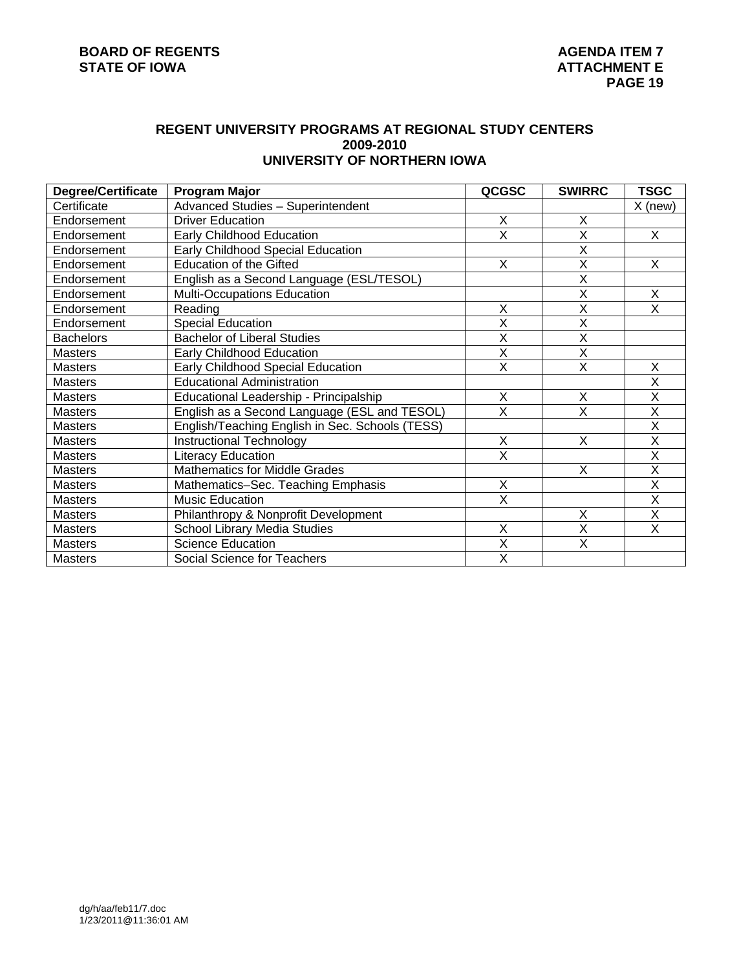# **REGENT UNIVERSITY PROGRAMS AT REGIONAL STUDY CENTERS 2009-2010 UNIVERSITY OF NORTHERN IOWA**

| <b>Degree/Certificate</b> | <b>Program Major</b>                            | QCGSC                   | <b>SWIRRC</b>           | TSGC                    |
|---------------------------|-------------------------------------------------|-------------------------|-------------------------|-------------------------|
| Certificate               | Advanced Studies - Superintendent               |                         |                         | $X$ (new)               |
| Endorsement               | <b>Driver Education</b>                         | X                       | X                       |                         |
| Endorsement               | Early Childhood Education                       | X                       | X                       | X.                      |
| Endorsement               | Early Childhood Special Education               |                         | X                       |                         |
| Endorsement               | <b>Education of the Gifted</b>                  | X                       | X                       | X                       |
| Endorsement               | English as a Second Language (ESL/TESOL)        |                         | X                       |                         |
| Endorsement               | Multi-Occupations Education                     |                         | X                       | X                       |
| Endorsement               | Reading                                         | Χ                       | X                       | X                       |
| Endorsement               | Special Education                               | X                       | X                       |                         |
| <b>Bachelors</b>          | <b>Bachelor of Liberal Studies</b>              | X                       | X                       |                         |
| <b>Masters</b>            | Early Childhood Education                       | $\overline{\mathsf{x}}$ | $\overline{\mathsf{x}}$ |                         |
| <b>Masters</b>            | Early Childhood Special Education               | X                       | X                       | X                       |
| <b>Masters</b>            | <b>Educational Administration</b>               |                         |                         | X                       |
| <b>Masters</b>            | Educational Leadership - Principalship          | X                       | X                       | X                       |
| <b>Masters</b>            | English as a Second Language (ESL and TESOL)    | X                       | X                       | X                       |
| <b>Masters</b>            | English/Teaching English in Sec. Schools (TESS) |                         |                         | $\overline{\mathsf{x}}$ |
| <b>Masters</b>            | <b>Instructional Technology</b>                 | X                       | X                       | $\overline{\mathsf{x}}$ |
| <b>Masters</b>            | <b>Literacy Education</b>                       | X                       |                         | X                       |
| <b>Masters</b>            | <b>Mathematics for Middle Grades</b>            |                         | X                       | $\overline{\mathsf{x}}$ |
| <b>Masters</b>            | Mathematics-Sec. Teaching Emphasis              | X                       |                         | Χ                       |
| <b>Masters</b>            | Music Education                                 | $\overline{\mathsf{x}}$ |                         | X                       |
| <b>Masters</b>            | Philanthropy & Nonprofit Development            |                         | X                       | X                       |
| <b>Masters</b>            | School Library Media Studies                    | X                       | $\overline{\mathsf{x}}$ | X                       |
| <b>Masters</b>            | <b>Science Education</b>                        | $\overline{\mathsf{x}}$ | X                       |                         |
| <b>Masters</b>            | Social Science for Teachers                     | X                       |                         |                         |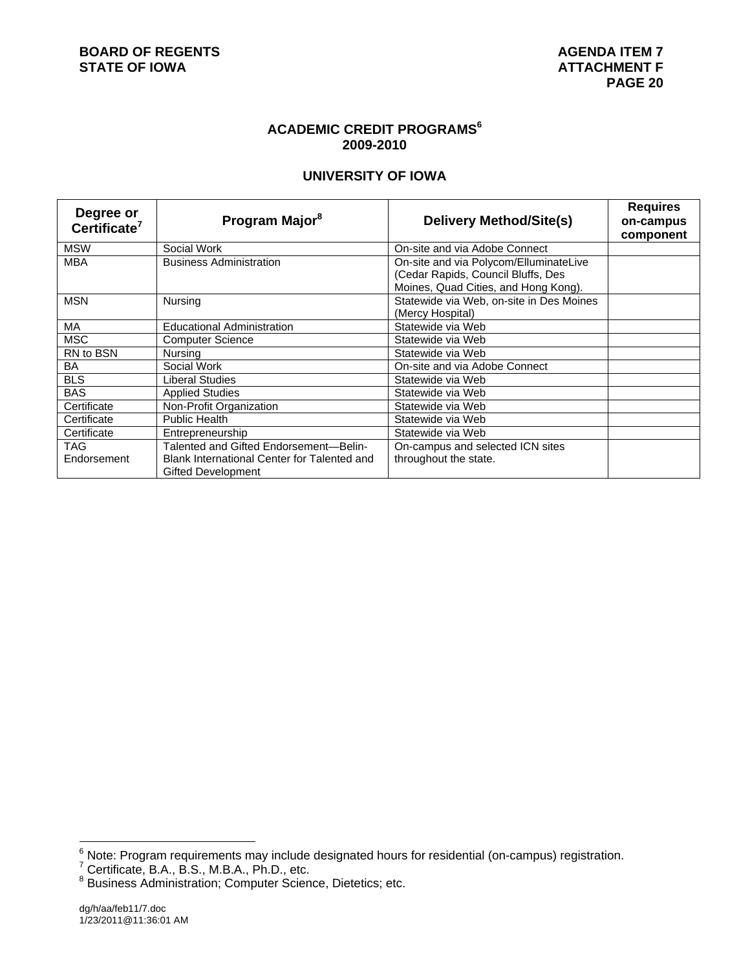# **ACADEMIC CREDIT PROGRAMS<sup>6</sup> 2009-2010**

# **UNIVERSITY OF IOWA**

| Degree or<br>Certificate <sup>7</sup> | Program Major <sup>8</sup>                                               | <b>Delivery Method/Site(s)</b>                                                                                       | <b>Requires</b><br>on-campus<br>component |
|---------------------------------------|--------------------------------------------------------------------------|----------------------------------------------------------------------------------------------------------------------|-------------------------------------------|
| <b>MSW</b>                            | Social Work                                                              | On-site and via Adobe Connect                                                                                        |                                           |
| <b>MBA</b>                            | <b>Business Administration</b>                                           | On-site and via Polycom/ElluminateLive<br>(Cedar Rapids, Council Bluffs, Des<br>Moines, Quad Cities, and Hong Kong). |                                           |
| <b>MSN</b>                            | Nursing                                                                  | Statewide via Web, on-site in Des Moines<br>(Mercy Hospital)                                                         |                                           |
| <b>MA</b>                             | <b>Educational Administration</b>                                        | Statewide via Web                                                                                                    |                                           |
| <b>MSC</b>                            | <b>Computer Science</b>                                                  | Statewide via Web                                                                                                    |                                           |
| RN to BSN                             | Nursing                                                                  | Statewide via Web                                                                                                    |                                           |
| BA                                    | Social Work                                                              | On-site and via Adobe Connect                                                                                        |                                           |
| <b>BLS</b>                            | Liberal Studies                                                          | Statewide via Web                                                                                                    |                                           |
| <b>BAS</b>                            | <b>Applied Studies</b>                                                   | Statewide via Web                                                                                                    |                                           |
| Certificate                           | Non-Profit Organization                                                  | Statewide via Web                                                                                                    |                                           |
| Certificate                           | <b>Public Health</b>                                                     | Statewide via Web                                                                                                    |                                           |
| Certificate                           | Entrepreneurship                                                         | Statewide via Web                                                                                                    |                                           |
| <b>TAG</b>                            | Talented and Gifted Endorsement-Belin-                                   | On-campus and selected ICN sites                                                                                     |                                           |
| Endorsement                           | Blank International Center for Talented and<br><b>Gifted Development</b> | throughout the state.                                                                                                |                                           |

<sup>&</sup>lt;sup>6</sup><br><sup>6</sup> Note: Program requirements may include designated hours for residential (on-campus) registration.<br><sup>7</sup> Certificate, B.A., B.S., M.B.A., Ph.D., etc.<br><sup>8</sup> Business Administration; Computer Science, Dietetics; etc.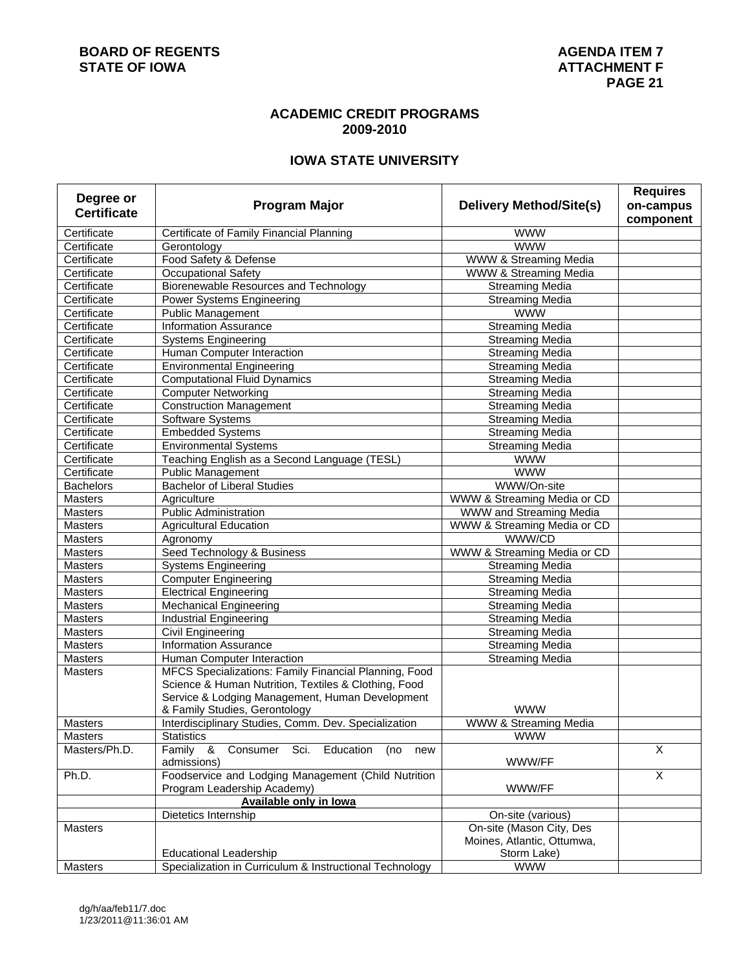## **ACADEMIC CREDIT PROGRAMS 2009-2010**

# **IOWA STATE UNIVERSITY**

| Degree or          |                                                                        |                                | <b>Requires</b>         |
|--------------------|------------------------------------------------------------------------|--------------------------------|-------------------------|
| <b>Certificate</b> | <b>Program Major</b>                                                   | <b>Delivery Method/Site(s)</b> | on-campus               |
|                    |                                                                        |                                | component               |
| Certificate        | Certificate of Family Financial Planning                               | <b>WWW</b>                     |                         |
| Certificate        | Gerontology                                                            | <b>WWW</b>                     |                         |
| Certificate        | Food Safety & Defense                                                  | WWW & Streaming Media          |                         |
| Certificate        | <b>Occupational Safety</b>                                             | WWW & Streaming Media          |                         |
| Certificate        | Biorenewable Resources and Technology                                  | <b>Streaming Media</b>         |                         |
| Certificate        | Power Systems Engineering                                              | <b>Streaming Media</b>         |                         |
| Certificate        | <b>Public Management</b>                                               | <b>WWW</b>                     |                         |
| Certificate        | <b>Information Assurance</b>                                           | <b>Streaming Media</b>         |                         |
| Certificate        | <b>Systems Engineering</b>                                             | <b>Streaming Media</b>         |                         |
| Certificate        | Human Computer Interaction                                             | <b>Streaming Media</b>         |                         |
| Certificate        | <b>Environmental Engineering</b>                                       | <b>Streaming Media</b>         |                         |
| Certificate        | <b>Computational Fluid Dynamics</b>                                    | <b>Streaming Media</b>         |                         |
| Certificate        | <b>Computer Networking</b>                                             | Streaming Media                |                         |
| Certificate        | <b>Construction Management</b>                                         | <b>Streaming Media</b>         |                         |
| Certificate        | Software Systems                                                       | <b>Streaming Media</b>         |                         |
| Certificate        | <b>Embedded Systems</b>                                                | <b>Streaming Media</b>         |                         |
| Certificate        | <b>Environmental Systems</b>                                           | <b>Streaming Media</b>         |                         |
| Certificate        | Teaching English as a Second Language (TESL)                           | <b>WWW</b>                     |                         |
| Certificate        | <b>Public Management</b>                                               | <b>WWW</b>                     |                         |
| <b>Bachelors</b>   | <b>Bachelor of Liberal Studies</b>                                     | WWW/On-site                    |                         |
| <b>Masters</b>     | Agriculture                                                            | WWW & Streaming Media or CD    |                         |
| <b>Masters</b>     | <b>Public Administration</b>                                           | <b>WWW and Streaming Media</b> |                         |
| <b>Masters</b>     | <b>Agricultural Education</b>                                          | WWW & Streaming Media or CD    |                         |
| <b>Masters</b>     | Agronomy                                                               | WWW/CD                         |                         |
| <b>Masters</b>     | Seed Technology & Business                                             | WWW & Streaming Media or CD    |                         |
| <b>Masters</b>     | <b>Systems Engineering</b>                                             | <b>Streaming Media</b>         |                         |
| <b>Masters</b>     | <b>Computer Engineering</b>                                            | <b>Streaming Media</b>         |                         |
| <b>Masters</b>     | <b>Electrical Engineering</b>                                          | <b>Streaming Media</b>         |                         |
| Masters            | <b>Mechanical Engineering</b>                                          | <b>Streaming Media</b>         |                         |
| <b>Masters</b>     | <b>Industrial Engineering</b>                                          | <b>Streaming Media</b>         |                         |
| <b>Masters</b>     | <b>Civil Engineering</b>                                               | <b>Streaming Media</b>         |                         |
| <b>Masters</b>     | <b>Information Assurance</b>                                           | <b>Streaming Media</b>         |                         |
| <b>Masters</b>     | Human Computer Interaction                                             | <b>Streaming Media</b>         |                         |
| <b>Masters</b>     | MFCS Specializations: Family Financial Planning, Food                  |                                |                         |
|                    | Science & Human Nutrition, Textiles & Clothing, Food                   |                                |                         |
|                    | Service & Lodging Management, Human Development                        |                                |                         |
|                    | & Family Studies, Gerontology                                          | <b>WWW</b>                     |                         |
| Masters            | Interdisciplinary Studies, Comm. Dev. Specialization                   | WWW & Streaming Media          |                         |
| <b>Masters</b>     | <b>Statistics</b>                                                      | <b>WWW</b>                     |                         |
| Masters/Ph.D.      | Family &<br>Sci.<br>Education<br>Consumer<br>(no<br>new<br>admissions) | WWW/FF                         | $\overline{\mathsf{x}}$ |
| Ph.D.              | Foodservice and Lodging Management (Child Nutrition                    |                                | $\overline{X}$          |
|                    | Program Leadership Academy)                                            | WWW/FF                         |                         |
|                    | <b>Available only in lowa</b>                                          |                                |                         |
|                    | Dietetics Internship                                                   | On-site (various)              |                         |
| <b>Masters</b>     |                                                                        | On-site (Mason City, Des       |                         |
|                    |                                                                        | Moines, Atlantic, Ottumwa,     |                         |
|                    | <b>Educational Leadership</b>                                          | Storm Lake)                    |                         |
| <b>Masters</b>     | Specialization in Curriculum & Instructional Technology                | <b>WWW</b>                     |                         |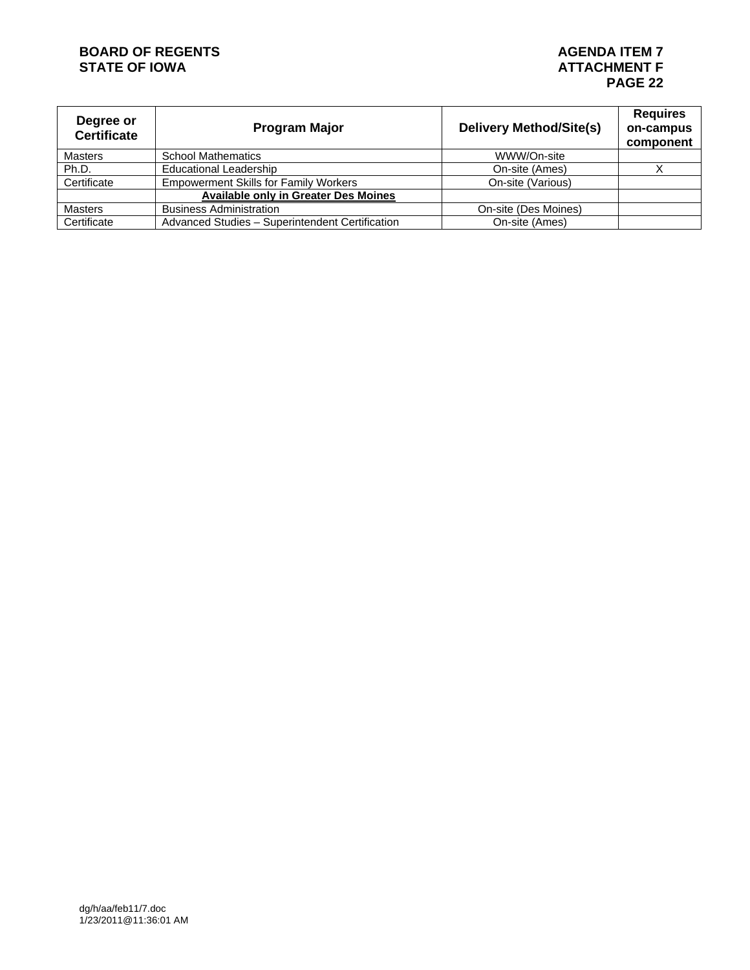# **BOARD OF REGENTS AGENERY AGENERY REGENTS AGENERY AGENERY AGENERY AGENERY PROPERTY AGENERY ATTACHMENT F**

| Degree or<br><b>Certificate</b> | <b>Program Major</b>                            | <b>Delivery Method/Site(s)</b> | <b>Requires</b><br>on-campus<br>component |  |
|---------------------------------|-------------------------------------------------|--------------------------------|-------------------------------------------|--|
| <b>Masters</b>                  | <b>School Mathematics</b>                       | WWW/On-site                    |                                           |  |
| Ph.D.                           | <b>Educational Leadership</b>                   | On-site (Ames)                 |                                           |  |
| Certificate                     | <b>Empowerment Skills for Family Workers</b>    | On-site (Various)              |                                           |  |
|                                 | <b>Available only in Greater Des Moines</b>     |                                |                                           |  |
| Masters                         | <b>Business Administration</b>                  | On-site (Des Moines)           |                                           |  |
| Certificate                     | Advanced Studies - Superintendent Certification | On-site (Ames)                 |                                           |  |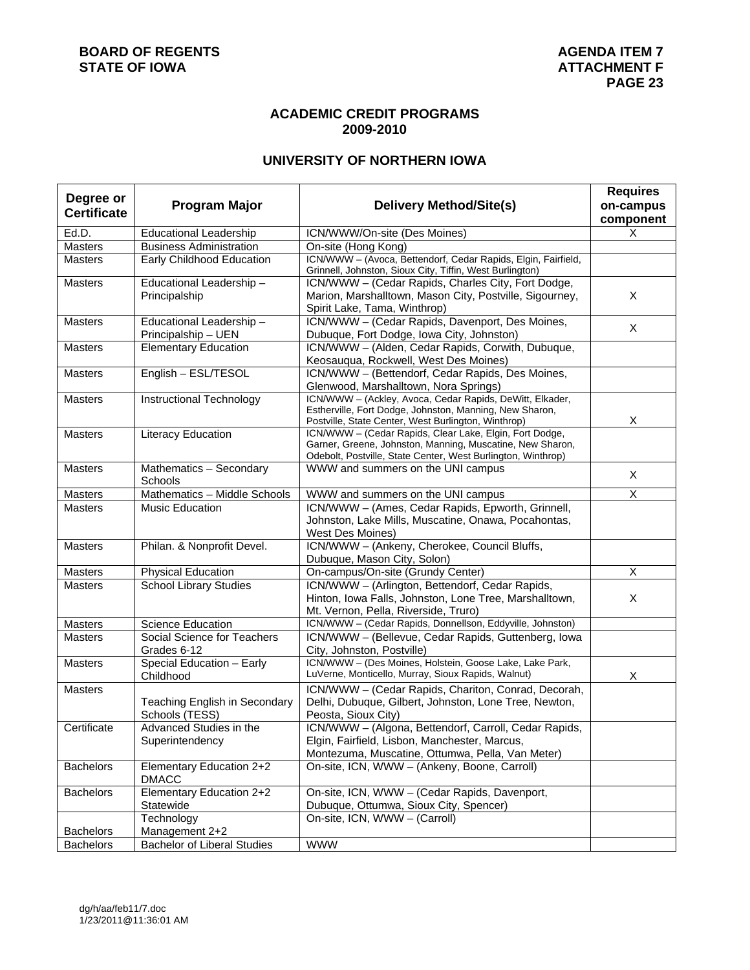## **ACADEMIC CREDIT PROGRAMS 2009-2010**

# **UNIVERSITY OF NORTHERN IOWA**

| Degree or          |                                          |                                                                                                                           | <b>Requires</b> |
|--------------------|------------------------------------------|---------------------------------------------------------------------------------------------------------------------------|-----------------|
| <b>Certificate</b> | <b>Program Major</b>                     | <b>Delivery Method/Site(s)</b>                                                                                            | on-campus       |
|                    |                                          |                                                                                                                           | component       |
| Ed.D.              | <b>Educational Leadership</b>            | ICN/WWW/On-site (Des Moines)                                                                                              | X               |
| Masters            | <b>Business Administration</b>           | On-site (Hong Kong)                                                                                                       |                 |
| <b>Masters</b>     | Early Childhood Education                | ICN/WWW - (Avoca, Bettendorf, Cedar Rapids, Elgin, Fairfield,<br>Grinnell, Johnston, Sioux City, Tiffin, West Burlington) |                 |
| <b>Masters</b>     | Educational Leadership-                  | ICN/WWW - (Cedar Rapids, Charles City, Fort Dodge,                                                                        |                 |
|                    | Principalship                            | Marion, Marshalltown, Mason City, Postville, Sigourney,                                                                   | X               |
|                    |                                          | Spirit Lake, Tama, Winthrop)                                                                                              |                 |
| <b>Masters</b>     | Educational Leadership-                  | ICN/WWW - (Cedar Rapids, Davenport, Des Moines,                                                                           | X               |
|                    | Principalship - UEN                      | Dubuque, Fort Dodge, Iowa City, Johnston)                                                                                 |                 |
| <b>Masters</b>     | Elementary Education                     | ICN/WWW - (Alden, Cedar Rapids, Corwith, Dubuque,                                                                         |                 |
| <b>Masters</b>     | English - ESL/TESOL                      | Keosauqua, Rockwell, West Des Moines)                                                                                     |                 |
|                    |                                          | ICN/WWW-(Bettendorf, Cedar Rapids, Des Moines,<br>Glenwood, Marshalltown, Nora Springs)                                   |                 |
| <b>Masters</b>     | Instructional Technology                 | ICN/WWW - (Ackley, Avoca, Cedar Rapids, DeWitt, Elkader,                                                                  |                 |
|                    |                                          | Estherville, Fort Dodge, Johnston, Manning, New Sharon,                                                                   |                 |
|                    |                                          | Postville, State Center, West Burlington, Winthrop)                                                                       | X               |
| <b>Masters</b>     | <b>Literacy Education</b>                | ICN/WWW - (Cedar Rapids, Clear Lake, Elgin, Fort Dodge,                                                                   |                 |
|                    |                                          | Garner, Greene, Johnston, Manning, Muscatine, New Sharon,                                                                 |                 |
| <b>Masters</b>     |                                          | Odebolt, Postville, State Center, West Burlington, Winthrop)<br>WWW and summers on the UNI campus                         |                 |
|                    | Mathematics - Secondary<br>Schools       |                                                                                                                           | X               |
| <b>Masters</b>     | Mathematics - Middle Schools             | WWW and summers on the UNI campus                                                                                         | Χ               |
| <b>Masters</b>     | Music Education                          | ICN/WWW - (Ames, Cedar Rapids, Epworth, Grinnell,                                                                         |                 |
|                    |                                          | Johnston, Lake Mills, Muscatine, Onawa, Pocahontas,                                                                       |                 |
|                    |                                          | West Des Moines)                                                                                                          |                 |
| <b>Masters</b>     | Philan. & Nonprofit Devel.               | ICN/WWW - (Ankeny, Cherokee, Council Bluffs,                                                                              |                 |
| Masters            | <b>Physical Education</b>                | Dubuque, Mason City, Solon)<br>On-campus/On-site (Grundy Center)                                                          | X               |
| <b>Masters</b>     | School Library Studies                   | ICN/WWW - (Arlington, Bettendorf, Cedar Rapids,                                                                           |                 |
|                    |                                          | Hinton, Iowa Falls, Johnston, Lone Tree, Marshalltown,                                                                    | X               |
|                    |                                          | Mt. Vernon, Pella, Riverside, Truro)                                                                                      |                 |
| <b>Masters</b>     | <b>Science Education</b>                 | ICN/WWW - (Cedar Rapids, Donnellson, Eddyville, Johnston)                                                                 |                 |
| <b>Masters</b>     | Social Science for Teachers              | ICN/WWW - (Bellevue, Cedar Rapids, Guttenberg, Iowa                                                                       |                 |
|                    | Grades 6-12                              | City, Johnston, Postville)                                                                                                |                 |
| Masters            | Special Education - Early                | ICN/WWW - (Des Moines, Holstein, Goose Lake, Lake Park,                                                                   |                 |
|                    | Childhood                                | LuVerne, Monticello, Murray, Sioux Rapids, Walnut)                                                                        | Х               |
| <b>Masters</b>     |                                          | ICN/WWW - (Cedar Rapids, Chariton, Conrad, Decorah,                                                                       |                 |
|                    | Teaching English in Secondary            | Delhi, Dubuque, Gilbert, Johnston, Lone Tree, Newton,                                                                     |                 |
|                    | Schools (TESS)                           | Peosta, Sioux City)                                                                                                       |                 |
| Certificate        | Advanced Studies in the                  | ICN/WWW - (Algona, Bettendorf, Carroll, Cedar Rapids,                                                                     |                 |
|                    | Superintendency                          | Elgin, Fairfield, Lisbon, Manchester, Marcus,                                                                             |                 |
|                    |                                          | Montezuma, Muscatine, Ottumwa, Pella, Van Meter)                                                                          |                 |
| <b>Bachelors</b>   | Elementary Education 2+2<br><b>DMACC</b> | On-site, ICN, WWW - (Ankeny, Boone, Carroll)                                                                              |                 |
| <b>Bachelors</b>   | Elementary Education 2+2                 | On-site, ICN, WWW - (Cedar Rapids, Davenport,                                                                             |                 |
|                    | Statewide                                | Dubuque, Ottumwa, Sioux City, Spencer)                                                                                    |                 |
|                    | Technology                               | On-site, ICN, WWW - (Carroll)                                                                                             |                 |
| <b>Bachelors</b>   | Management 2+2                           |                                                                                                                           |                 |
| <b>Bachelors</b>   | <b>Bachelor of Liberal Studies</b>       | <b>WWW</b>                                                                                                                |                 |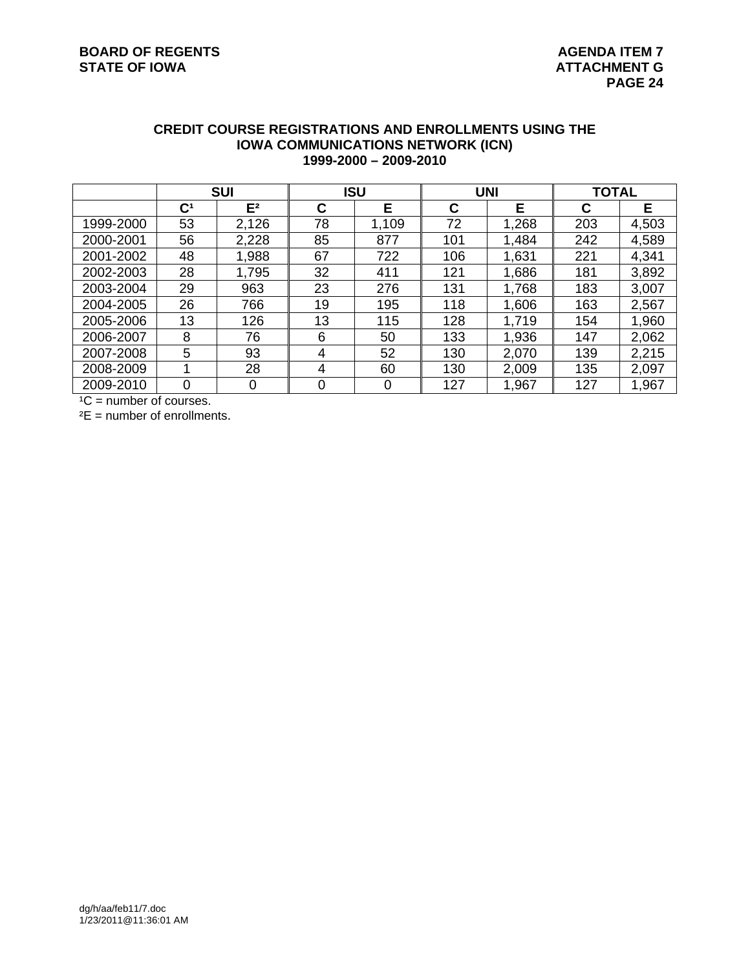#### **CREDIT COURSE REGISTRATIONS AND ENROLLMENTS USING THE IOWA COMMUNICATIONS NETWORK (ICN) 1999-2000 – 2009-2010**

|           | <b>SUI</b>     |                | <b>ISU</b> |       | <b>UNI</b> |       | <b>TOTAL</b> |       |
|-----------|----------------|----------------|------------|-------|------------|-------|--------------|-------|
|           | $\mathbf{C}^1$ | E <sup>2</sup> | С          | Е     | С          | Е     | C            | Е     |
| 1999-2000 | 53             | 2,126          | 78         | 1,109 | 72         | 1,268 | 203          | 4,503 |
| 2000-2001 | 56             | 2,228          | 85         | 877   | 101        | 1,484 | 242          | 4,589 |
| 2001-2002 | 48             | 1,988          | 67         | 722   | 106        | 1,631 | 221          | 4,341 |
| 2002-2003 | 28             | 1,795          | 32         | 411   | 121        | 1,686 | 181          | 3,892 |
| 2003-2004 | 29             | 963            | 23         | 276   | 131        | 1,768 | 183          | 3,007 |
| 2004-2005 | 26             | 766            | 19         | 195   | 118        | 1,606 | 163          | 2,567 |
| 2005-2006 | 13             | 126            | 13         | 115   | 128        | 1,719 | 154          | 1,960 |
| 2006-2007 | 8              | 76             | 6          | 50    | 133        | 1,936 | 147          | 2,062 |
| 2007-2008 | 5              | 93             | 4          | 52    | 130        | 2,070 | 139          | 2,215 |
| 2008-2009 |                | 28             | 4          | 60    | 130        | 2,009 | 135          | 2,097 |
| 2009-2010 | 0              | 0              | $\Omega$   | 0     | 127        | 1,967 | 127          | 1,967 |

 $^1C$  = number of courses.

 $E =$  number of enrollments.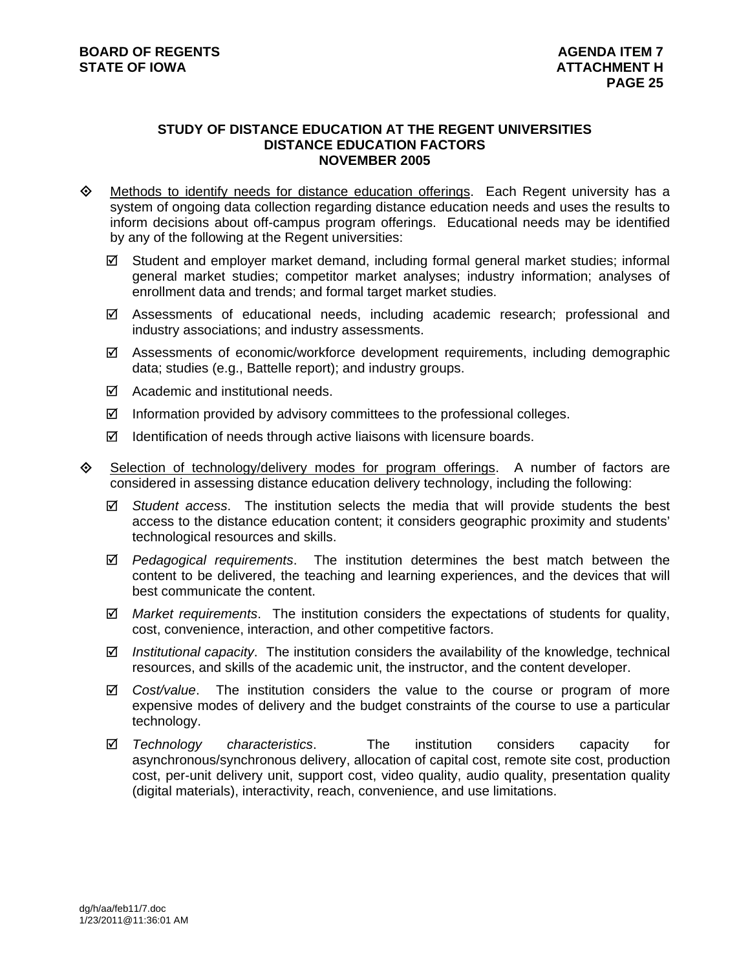#### **STUDY OF DISTANCE EDUCATION AT THE REGENT UNIVERSITIES DISTANCE EDUCATION FACTORS NOVEMBER 2005**

- $\Diamond$  Methods to identify needs for distance education offerings. Each Regent university has a system of ongoing data collection regarding distance education needs and uses the results to inform decisions about off-campus program offerings. Educational needs may be identified by any of the following at the Regent universities:
	- $\boxtimes$  Student and employer market demand, including formal general market studies; informal general market studies; competitor market analyses; industry information; analyses of enrollment data and trends; and formal target market studies.
	- Assessments of educational needs, including academic research; professional and industry associations; and industry assessments.
	- $\boxtimes$  Assessments of economic/workforce development requirements, including demographic data; studies (e.g., Battelle report); and industry groups.
	- $\boxtimes$  Academic and institutional needs.
	- $\boxtimes$  Information provided by advisory committees to the professional colleges.
	- $\boxtimes$  Identification of needs through active liaisons with licensure boards.
- $\diamondsuit$  Selection of technology/delivery modes for program offerings. A number of factors are considered in assessing distance education delivery technology, including the following:
	- *Student access*. The institution selects the media that will provide students the best access to the distance education content; it considers geographic proximity and students' technological resources and skills.
	- *Pedagogical requirements*. The institution determines the best match between the content to be delivered, the teaching and learning experiences, and the devices that will best communicate the content.
	- *Market requirements*. The institution considers the expectations of students for quality, cost, convenience, interaction, and other competitive factors.
	- *Institutional capacity*. The institution considers the availability of the knowledge, technical resources, and skills of the academic unit, the instructor, and the content developer.
	- *Cost/value*. The institution considers the value to the course or program of more expensive modes of delivery and the budget constraints of the course to use a particular technology.
	- *Technology characteristics*. The institution considers capacity for asynchronous/synchronous delivery, allocation of capital cost, remote site cost, production cost, per-unit delivery unit, support cost, video quality, audio quality, presentation quality (digital materials), interactivity, reach, convenience, and use limitations.